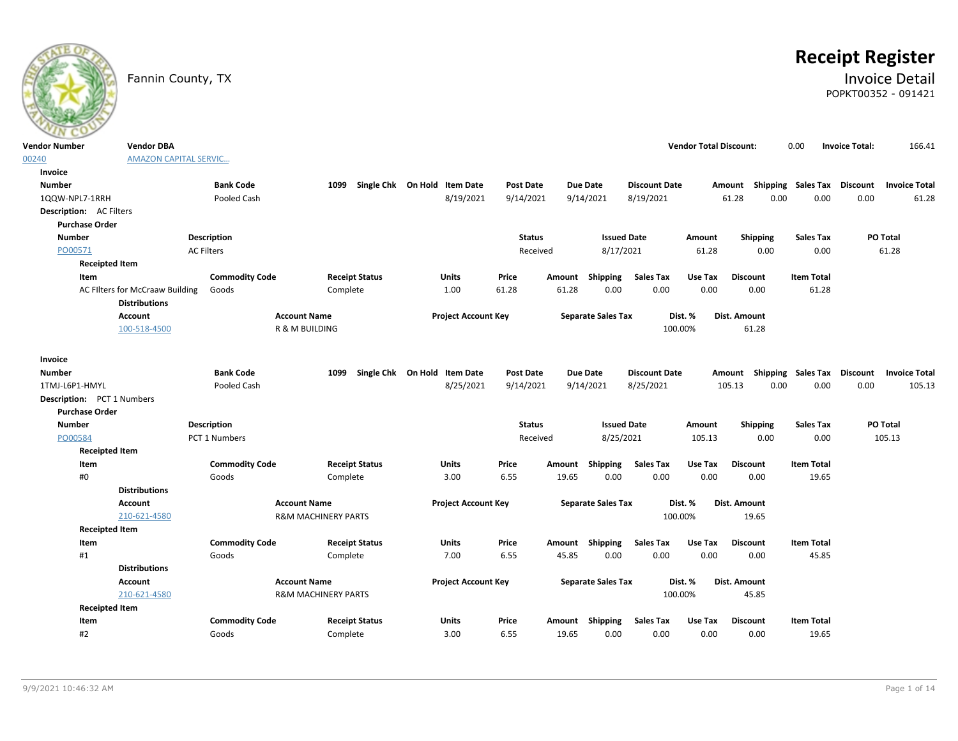

# **Receipt Register**

### Fannin County, TX **Invoice Detail** POPKT00352 - 091421

| <b>Vendor Number</b>              | <b>Vendor DBA</b>                                       |                       |                                |                                   |                  |        |                           |                      | <b>Vendor Total Discount:</b> |                                                  | 0.00               | <b>Invoice Total:</b> | 166.41               |
|-----------------------------------|---------------------------------------------------------|-----------------------|--------------------------------|-----------------------------------|------------------|--------|---------------------------|----------------------|-------------------------------|--------------------------------------------------|--------------------|-----------------------|----------------------|
| 00240                             | <b>AMAZON CAPITAL SERVIC</b>                            |                       |                                |                                   |                  |        |                           |                      |                               |                                                  |                    |                       |                      |
| Invoice                           |                                                         |                       |                                |                                   |                  |        |                           |                      |                               |                                                  |                    |                       |                      |
| <b>Number</b>                     |                                                         | <b>Bank Code</b>      |                                | 1099 Single Chk On Hold Item Date | <b>Post Date</b> |        | <b>Due Date</b>           | <b>Discount Date</b> |                               | Amount                                           | Shipping Sales Tax | <b>Discount</b>       | <b>Invoice Total</b> |
| 1QQW-NPL7-1RRH                    |                                                         | Pooled Cash           |                                | 8/19/2021                         | 9/14/2021        |        | 9/14/2021                 | 8/19/2021            |                               | 61.28<br>0.00                                    | 0.00               | 0.00                  | 61.28                |
| <b>Description:</b> AC Filters    |                                                         |                       |                                |                                   |                  |        |                           |                      |                               |                                                  |                    |                       |                      |
| <b>Purchase Order</b>             |                                                         |                       |                                |                                   |                  |        |                           |                      |                               |                                                  |                    |                       |                      |
| <b>Number</b>                     |                                                         | <b>Description</b>    |                                |                                   | <b>Status</b>    |        | <b>Issued Date</b>        |                      | Amount                        | Shipping                                         | <b>Sales Tax</b>   |                       | PO Total             |
| PO00571                           |                                                         | <b>AC Filters</b>     |                                |                                   | Received         |        | 8/17/2021                 |                      | 61.28                         | 0.00                                             | 0.00               |                       | 61.28                |
| <b>Receipted Item</b>             |                                                         |                       |                                |                                   |                  |        |                           |                      |                               |                                                  |                    |                       |                      |
| Item                              |                                                         | <b>Commodity Code</b> | <b>Receipt Status</b>          | Units                             | Price            | Amount | Shipping                  | <b>Sales Tax</b>     | Use Tax                       | <b>Discount</b>                                  | <b>Item Total</b>  |                       |                      |
|                                   | AC Filters for McCraaw Building<br><b>Distributions</b> | Goods                 | Complete                       | 1.00                              | 61.28            | 61.28  | 0.00                      | 0.00                 | 0.00                          | 0.00                                             | 61.28              |                       |                      |
|                                   | <b>Account</b>                                          |                       | <b>Account Name</b>            | <b>Project Account Key</b>        |                  |        | <b>Separate Sales Tax</b> |                      | Dist. %                       | Dist. Amount                                     |                    |                       |                      |
|                                   | 100-518-4500                                            |                       | <b>R &amp; M BUILDING</b>      |                                   |                  |        |                           | 100.00%              |                               | 61.28                                            |                    |                       |                      |
| Invoice                           |                                                         |                       |                                |                                   |                  |        |                           |                      |                               |                                                  |                    |                       |                      |
| <b>Number</b>                     |                                                         | <b>Bank Code</b>      | 1099                           | Single Chk On Hold Item Date      | <b>Post Date</b> |        | <b>Due Date</b>           | <b>Discount Date</b> |                               | Amount Shipping Sales Tax Discount Invoice Total |                    |                       |                      |
| 1TMJ-L6P1-HMYL                    |                                                         | Pooled Cash           |                                | 8/25/2021                         | 9/14/2021        |        | 9/14/2021                 | 8/25/2021            |                               | 0.00<br>105.13                                   | 0.00               | 0.00                  | 105.13               |
| <b>Description:</b> PCT 1 Numbers |                                                         |                       |                                |                                   |                  |        |                           |                      |                               |                                                  |                    |                       |                      |
| <b>Purchase Order</b>             |                                                         |                       |                                |                                   |                  |        |                           |                      |                               |                                                  |                    |                       |                      |
| <b>Number</b>                     |                                                         | <b>Description</b>    |                                |                                   | <b>Status</b>    |        | <b>Issued Date</b>        |                      | Amount                        | Shipping                                         | <b>Sales Tax</b>   |                       | PO Total             |
| PO00584                           |                                                         | PCT 1 Numbers         |                                |                                   | Received         |        | 8/25/2021                 |                      | 105.13                        | 0.00                                             | 0.00               |                       | 105.13               |
| <b>Receipted Item</b>             |                                                         |                       |                                |                                   |                  |        |                           |                      |                               |                                                  |                    |                       |                      |
| Item                              |                                                         | <b>Commodity Code</b> | <b>Receipt Status</b>          | Units                             | Price            | Amount | Shipping                  | <b>Sales Tax</b>     | Use Tax                       | <b>Discount</b>                                  | <b>Item Total</b>  |                       |                      |
| #0                                |                                                         | Goods                 | Complete                       | 3.00                              | 6.55             | 19.65  | 0.00                      | 0.00                 | 0.00                          | 0.00                                             | 19.65              |                       |                      |
|                                   | <b>Distributions</b>                                    |                       |                                |                                   |                  |        |                           |                      |                               |                                                  |                    |                       |                      |
|                                   | <b>Account</b>                                          |                       | <b>Account Name</b>            | <b>Project Account Key</b>        |                  |        | <b>Separate Sales Tax</b> |                      | Dist. %                       | Dist. Amount                                     |                    |                       |                      |
|                                   | 210-621-4580                                            |                       | <b>R&amp;M MACHINERY PARTS</b> |                                   |                  |        |                           | 100.00%              |                               | 19.65                                            |                    |                       |                      |
| <b>Receipted Item</b>             |                                                         |                       |                                |                                   |                  |        |                           |                      |                               |                                                  |                    |                       |                      |
| Item                              |                                                         | <b>Commodity Code</b> | <b>Receipt Status</b>          | <b>Units</b>                      | Price            |        | Amount Shipping           | <b>Sales Tax</b>     | Use Tax                       | <b>Discount</b>                                  | <b>Item Total</b>  |                       |                      |
| #1                                |                                                         | Goods                 | Complete                       | 7.00                              | 6.55             | 45.85  | 0.00                      | 0.00                 | 0.00                          | 0.00                                             | 45.85              |                       |                      |
|                                   | <b>Distributions</b>                                    |                       |                                |                                   |                  |        |                           |                      |                               |                                                  |                    |                       |                      |
|                                   | <b>Account</b>                                          |                       | <b>Account Name</b>            | <b>Project Account Key</b>        |                  |        | <b>Separate Sales Tax</b> |                      | Dist. %                       | Dist. Amount                                     |                    |                       |                      |
|                                   | 210-621-4580                                            |                       | <b>R&amp;M MACHINERY PARTS</b> |                                   |                  |        |                           | 100.00%              |                               | 45.85                                            |                    |                       |                      |
| <b>Receipted Item</b>             |                                                         | <b>Commodity Code</b> | <b>Receipt Status</b>          |                                   | Price            |        | Amount Shipping           | <b>Sales Tax</b>     | Use Tax                       | <b>Discount</b>                                  | <b>Item Total</b>  |                       |                      |
| Item<br>#2                        |                                                         |                       |                                | Units                             | 6.55             | 19.65  | 0.00                      |                      | 0.00                          | 0.00                                             | 19.65              |                       |                      |
|                                   |                                                         | Goods                 | Complete                       | 3.00                              |                  |        |                           | 0.00                 |                               |                                                  |                    |                       |                      |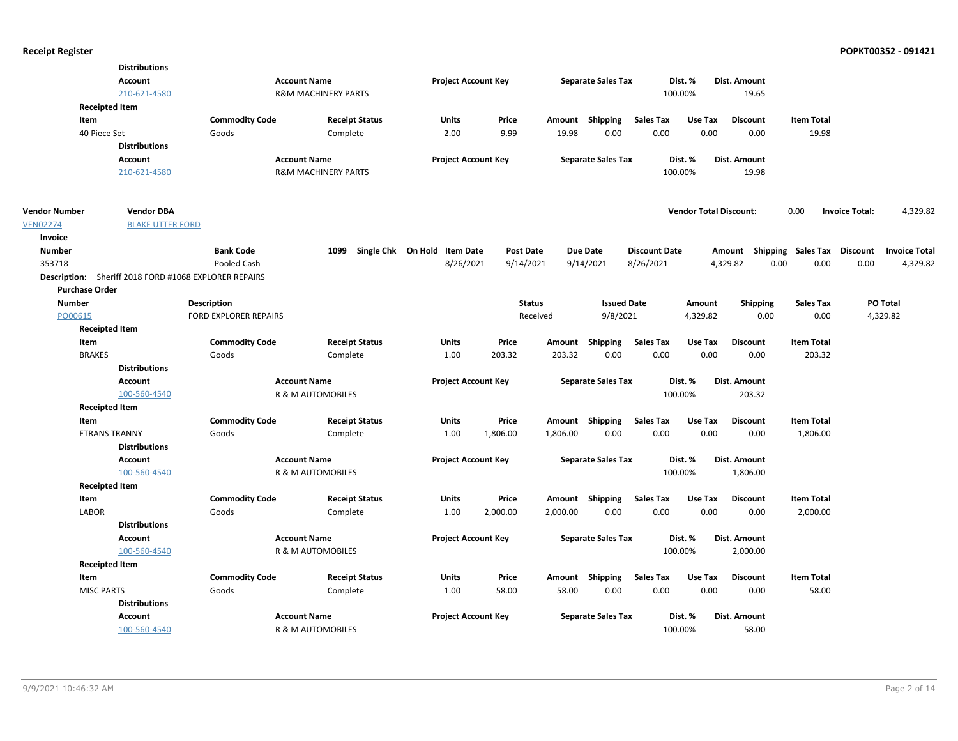|                      | <b>Distributions</b>                                  |                              |                                |                              |                  |          |                           |                      |                               |                                    |                   |                                   |
|----------------------|-------------------------------------------------------|------------------------------|--------------------------------|------------------------------|------------------|----------|---------------------------|----------------------|-------------------------------|------------------------------------|-------------------|-----------------------------------|
|                      | Account                                               |                              | <b>Account Name</b>            | <b>Project Account Key</b>   |                  |          | <b>Separate Sales Tax</b> |                      | Dist. %                       | Dist. Amount                       |                   |                                   |
|                      | 210-621-4580                                          |                              | <b>R&amp;M MACHINERY PARTS</b> |                              |                  |          |                           |                      | 100.00%                       | 19.65                              |                   |                                   |
|                      | <b>Receipted Item</b>                                 |                              |                                |                              |                  |          |                           |                      |                               |                                    |                   |                                   |
|                      | Item                                                  | <b>Commodity Code</b>        | <b>Receipt Status</b>          | Units                        | Price            |          | Amount Shipping           | <b>Sales Tax</b>     | Use Tax                       | <b>Discount</b>                    | <b>Item Total</b> |                                   |
|                      | 40 Piece Set                                          | Goods                        | Complete                       | 2.00                         | 9.99             | 19.98    | 0.00                      | 0.00                 | 0.00                          | 0.00                               | 19.98             |                                   |
|                      | <b>Distributions</b>                                  |                              |                                |                              |                  |          |                           |                      |                               |                                    |                   |                                   |
|                      | <b>Account</b>                                        |                              | <b>Account Name</b>            | <b>Project Account Key</b>   |                  |          | <b>Separate Sales Tax</b> |                      | Dist. %                       | Dist. Amount                       |                   |                                   |
|                      | 210-621-4580                                          |                              | <b>R&amp;M MACHINERY PARTS</b> |                              |                  |          |                           |                      | 100.00%                       | 19.98                              |                   |                                   |
| <b>Vendor Number</b> | <b>Vendor DBA</b>                                     |                              |                                |                              |                  |          |                           |                      | <b>Vendor Total Discount:</b> |                                    | 0.00              | <b>Invoice Total:</b><br>4,329.82 |
| <b>VEN02274</b>      | <b>BLAKE UTTER FORD</b>                               |                              |                                |                              |                  |          |                           |                      |                               |                                    |                   |                                   |
| Invoice              |                                                       |                              |                                |                              |                  |          |                           |                      |                               |                                    |                   |                                   |
| <b>Number</b>        |                                                       | <b>Bank Code</b>             | 1099                           | Single Chk On Hold Item Date | <b>Post Date</b> |          | Due Date                  | <b>Discount Date</b> |                               | Amount Shipping Sales Tax Discount |                   | <b>Invoice Total</b>              |
| 353718               |                                                       | Pooled Cash                  |                                | 8/26/2021                    | 9/14/2021        |          | 9/14/2021                 | 8/26/2021            |                               | 4,329.82                           | 0.00<br>0.00      | 0.00<br>4,329.82                  |
|                      | Description: Sheriff 2018 FORD #1068 EXPLORER REPAIRS |                              |                                |                              |                  |          |                           |                      |                               |                                    |                   |                                   |
|                      | <b>Purchase Order</b>                                 |                              |                                |                              |                  |          |                           |                      |                               |                                    |                   |                                   |
| <b>Number</b>        |                                                       | <b>Description</b>           |                                |                              | <b>Status</b>    |          | <b>Issued Date</b>        |                      | Amount                        | Shipping                           | <b>Sales Tax</b>  | PO Total                          |
| PO00615              |                                                       | <b>FORD EXPLORER REPAIRS</b> |                                |                              | Received         |          | 9/8/2021                  |                      | 4,329.82                      | 0.00                               | 0.00              | 4,329.82                          |
|                      | <b>Receipted Item</b>                                 |                              |                                |                              |                  |          |                           |                      |                               |                                    |                   |                                   |
|                      | Item                                                  | <b>Commodity Code</b>        | <b>Receipt Status</b>          | Units                        | Price            | Amount   | Shipping                  | <b>Sales Tax</b>     | Use Tax                       | Discount                           | <b>Item Total</b> |                                   |
|                      | <b>BRAKES</b>                                         | Goods                        | Complete                       | 1.00                         | 203.32           | 203.32   | 0.00                      | 0.00                 | 0.00                          | 0.00                               | 203.32            |                                   |
|                      | <b>Distributions</b>                                  |                              |                                |                              |                  |          |                           |                      |                               |                                    |                   |                                   |
|                      | <b>Account</b>                                        |                              | <b>Account Name</b>            | <b>Project Account Key</b>   |                  |          | <b>Separate Sales Tax</b> |                      | Dist. %                       | Dist. Amount                       |                   |                                   |
|                      | 100-560-4540                                          |                              | R & M AUTOMOBILES              |                              |                  |          |                           |                      | 100.00%                       | 203.32                             |                   |                                   |
|                      | <b>Receipted Item</b>                                 |                              |                                |                              |                  |          |                           |                      |                               |                                    |                   |                                   |
|                      | Item                                                  | <b>Commodity Code</b>        | <b>Receipt Status</b>          | Units                        | Price            |          | Amount Shipping           | <b>Sales Tax</b>     | Use Tax                       | <b>Discount</b>                    | <b>Item Total</b> |                                   |
|                      | <b>ETRANS TRANNY</b>                                  | Goods                        | Complete                       | 1.00                         | 1,806.00         | 1,806.00 | 0.00                      | 0.00                 | 0.00                          | 0.00                               | 1,806.00          |                                   |
|                      | <b>Distributions</b>                                  |                              |                                |                              |                  |          |                           |                      |                               |                                    |                   |                                   |
|                      | <b>Account</b>                                        |                              | <b>Account Name</b>            | <b>Project Account Key</b>   |                  |          | <b>Separate Sales Tax</b> |                      | Dist. %                       | <b>Dist. Amount</b>                |                   |                                   |
|                      | 100-560-4540                                          |                              | R & M AUTOMOBILES              |                              |                  |          |                           |                      | 100.00%                       | 1,806.00                           |                   |                                   |
|                      | <b>Receipted Item</b>                                 |                              |                                |                              |                  |          |                           |                      |                               |                                    |                   |                                   |
|                      | Item                                                  | <b>Commodity Code</b>        | <b>Receipt Status</b>          | Units                        | Price            |          | Amount Shipping           | <b>Sales Tax</b>     | Use Tax                       | <b>Discount</b>                    | <b>Item Total</b> |                                   |
|                      | <b>LABOR</b>                                          | Goods                        | Complete                       | 1.00                         | 2,000.00         | 2,000.00 | 0.00                      | 0.00                 | 0.00                          | 0.00                               | 2,000.00          |                                   |
|                      | <b>Distributions</b>                                  |                              |                                |                              |                  |          |                           |                      |                               |                                    |                   |                                   |
|                      | Account                                               |                              | <b>Account Name</b>            | <b>Project Account Key</b>   |                  |          | <b>Separate Sales Tax</b> |                      | Dist. %                       | Dist. Amount                       |                   |                                   |
|                      | 100-560-4540                                          |                              | R & M AUTOMOBILES              |                              |                  |          |                           |                      | 100.00%                       | 2,000.00                           |                   |                                   |
|                      | <b>Receipted Item</b>                                 |                              |                                |                              |                  |          |                           |                      |                               |                                    |                   |                                   |
|                      | Item                                                  | <b>Commodity Code</b>        | <b>Receipt Status</b>          | <b>Units</b>                 | Price            |          | Amount Shipping           | <b>Sales Tax</b>     | Use Tax                       | <b>Discount</b>                    | <b>Item Total</b> |                                   |
|                      | <b>MISC PARTS</b>                                     | Goods                        | Complete                       | 1.00                         | 58.00            | 58.00    | 0.00                      | 0.00                 | 0.00                          | 0.00                               | 58.00             |                                   |
|                      | <b>Distributions</b>                                  |                              |                                |                              |                  |          |                           |                      |                               |                                    |                   |                                   |
|                      | Account                                               |                              | <b>Account Name</b>            | <b>Project Account Key</b>   |                  |          | <b>Separate Sales Tax</b> |                      | Dist. %                       | Dist. Amount                       |                   |                                   |
|                      | 100-560-4540                                          |                              | R & M AUTOMOBILES              |                              |                  |          |                           |                      | 100.00%                       | 58.00                              |                   |                                   |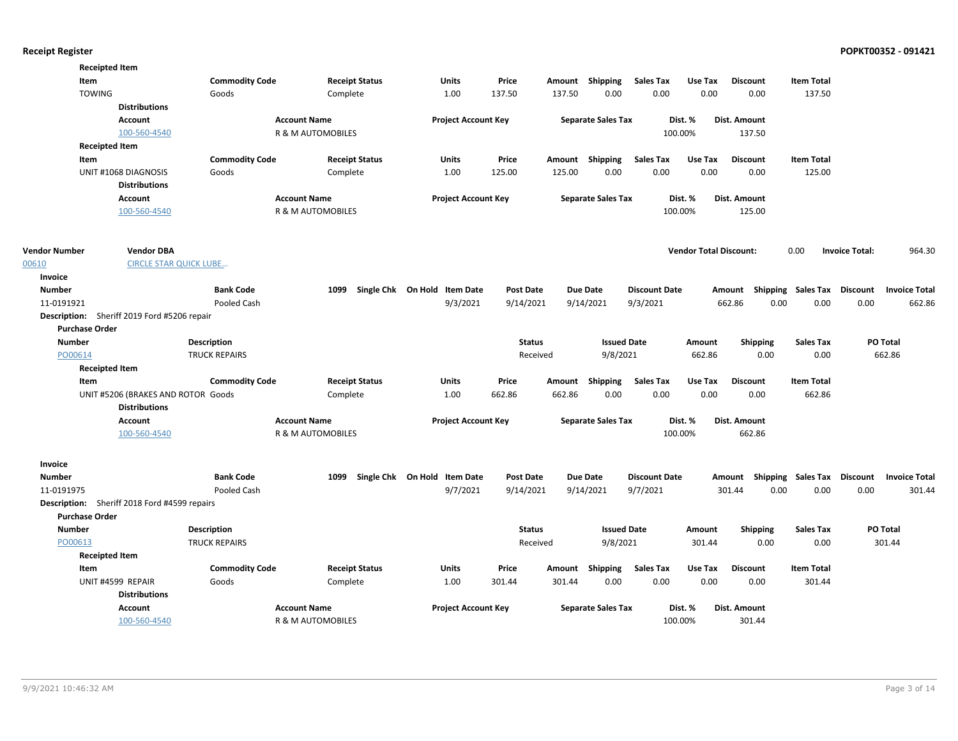|                       | <b>Receipted Item</b>                                      |                       |                              |                                   |                  |        |                           |                      |                               |                     |                                    |                       |                      |
|-----------------------|------------------------------------------------------------|-----------------------|------------------------------|-----------------------------------|------------------|--------|---------------------------|----------------------|-------------------------------|---------------------|------------------------------------|-----------------------|----------------------|
| Item                  |                                                            | <b>Commodity Code</b> | <b>Receipt Status</b>        | Units                             | Price            |        | Amount Shipping           | <b>Sales Tax</b>     | Use Tax                       | <b>Discount</b>     | <b>Item Total</b>                  |                       |                      |
| <b>TOWING</b>         |                                                            | Goods                 | Complete                     | 1.00                              | 137.50           | 137.50 | 0.00                      | 0.00                 | 0.00                          | 0.00                | 137.50                             |                       |                      |
|                       | <b>Distributions</b>                                       |                       |                              |                                   |                  |        |                           |                      |                               |                     |                                    |                       |                      |
|                       | <b>Account</b>                                             |                       | <b>Account Name</b>          | <b>Project Account Key</b>        |                  |        | <b>Separate Sales Tax</b> |                      | Dist. %                       | <b>Dist. Amount</b> |                                    |                       |                      |
|                       | 100-560-4540                                               |                       | R & M AUTOMOBILES            |                                   |                  |        |                           | 100.00%              |                               | 137.50              |                                    |                       |                      |
|                       | <b>Receipted Item</b>                                      |                       |                              |                                   |                  |        |                           |                      |                               |                     |                                    |                       |                      |
| Item                  |                                                            | <b>Commodity Code</b> | <b>Receipt Status</b>        | <b>Units</b>                      | Price            |        | Amount Shipping           | <b>Sales Tax</b>     | Use Tax                       | <b>Discount</b>     | <b>Item Total</b>                  |                       |                      |
|                       | UNIT #1068 DIAGNOSIS                                       | Goods                 | Complete                     | 1.00                              | 125.00           | 125.00 | 0.00                      | 0.00                 | 0.00                          | 0.00                | 125.00                             |                       |                      |
|                       | <b>Distributions</b>                                       |                       |                              |                                   |                  |        |                           |                      |                               |                     |                                    |                       |                      |
|                       | Account                                                    |                       | <b>Account Name</b>          | <b>Project Account Key</b>        |                  |        | <b>Separate Sales Tax</b> |                      | Dist. %                       | Dist. Amount        |                                    |                       |                      |
|                       | 100-560-4540                                               |                       | R & M AUTOMOBILES            |                                   |                  |        |                           | 100.00%              |                               | 125.00              |                                    |                       |                      |
| <b>Vendor Number</b>  | <b>Vendor DBA</b>                                          |                       |                              |                                   |                  |        |                           |                      | <b>Vendor Total Discount:</b> |                     | 0.00                               | <b>Invoice Total:</b> | 964.30               |
| 00610                 | <b>CIRCLE STAR QUICK LUBE</b>                              |                       |                              |                                   |                  |        |                           |                      |                               |                     |                                    |                       |                      |
| <b>Invoice</b>        |                                                            |                       |                              |                                   |                  |        |                           |                      |                               |                     |                                    |                       |                      |
| <b>Number</b>         |                                                            | <b>Bank Code</b>      | 1099                         | Single Chk On Hold Item Date      | <b>Post Date</b> |        | <b>Due Date</b>           | <b>Discount Date</b> |                               |                     | Amount Shipping Sales Tax Discount |                       | <b>Invoice Total</b> |
| 11-0191921            |                                                            | Pooled Cash           |                              | 9/3/2021                          | 9/14/2021        |        | 9/14/2021                 | 9/3/2021             |                               | 662.86              | 0.00<br>0.00                       | 0.00                  | 662.86               |
|                       | Description: Sheriff 2019 Ford #5206 repair                |                       |                              |                                   |                  |        |                           |                      |                               |                     |                                    |                       |                      |
| <b>Purchase Order</b> |                                                            |                       |                              |                                   |                  |        |                           |                      |                               |                     |                                    |                       |                      |
| <b>Number</b>         |                                                            | <b>Description</b>    |                              |                                   | <b>Status</b>    |        | <b>Issued Date</b>        |                      | Amount                        | <b>Shipping</b>     | <b>Sales Tax</b>                   |                       | PO Total             |
| PO00614               |                                                            | <b>TRUCK REPAIRS</b>  |                              |                                   | Received         |        | 9/8/2021                  |                      | 662.86                        | 0.00                | 0.00                               |                       | 662.86               |
|                       | <b>Receipted Item</b>                                      |                       |                              |                                   |                  |        |                           |                      |                               |                     |                                    |                       |                      |
| Item                  |                                                            | <b>Commodity Code</b> | <b>Receipt Status</b>        | Units                             | Price            | Amount | Shipping                  | <b>Sales Tax</b>     | Use Tax                       | <b>Discount</b>     | <b>Item Total</b>                  |                       |                      |
|                       | UNIT #5206 (BRAKES AND ROTOR Goods<br><b>Distributions</b> |                       | Complete                     | 1.00                              | 662.86           | 662.86 | 0.00                      | 0.00                 | 0.00                          | 0.00                | 662.86                             |                       |                      |
|                       | Account                                                    |                       | <b>Account Name</b>          | <b>Project Account Key</b>        |                  |        | <b>Separate Sales Tax</b> |                      | Dist. %                       | <b>Dist. Amount</b> |                                    |                       |                      |
|                       | 100-560-4540                                               |                       | R & M AUTOMOBILES            |                                   |                  |        |                           | 100.00%              |                               | 662.86              |                                    |                       |                      |
| Invoice               |                                                            |                       |                              |                                   |                  |        |                           |                      |                               |                     |                                    |                       |                      |
| <b>Number</b>         |                                                            | <b>Bank Code</b>      |                              | 1099 Single Chk On Hold Item Date | <b>Post Date</b> |        | <b>Due Date</b>           | <b>Discount Date</b> |                               |                     | Amount Shipping Sales Tax Discount |                       | <b>Invoice Total</b> |
| 11-0191975            |                                                            | Pooled Cash           |                              | 9/7/2021                          | 9/14/2021        |        | 9/14/2021                 | 9/7/2021             |                               | 301.44              | 0.00<br>0.00                       | 0.00                  | 301.44               |
|                       | Description: Sheriff 2018 Ford #4599 repairs               |                       |                              |                                   |                  |        |                           |                      |                               |                     |                                    |                       |                      |
| <b>Purchase Order</b> |                                                            |                       |                              |                                   |                  |        |                           |                      |                               |                     |                                    |                       |                      |
| <b>Number</b>         |                                                            | <b>Description</b>    |                              |                                   | <b>Status</b>    |        | <b>Issued Date</b>        |                      | Amount                        | <b>Shipping</b>     | <b>Sales Tax</b>                   |                       | PO Total             |
| PO00613               |                                                            | <b>TRUCK REPAIRS</b>  |                              |                                   | Received         |        | 9/8/2021                  |                      | 301.44                        | 0.00                | 0.00                               |                       | 301.44               |
|                       | <b>Receipted Item</b>                                      |                       |                              |                                   |                  |        |                           |                      |                               |                     |                                    |                       |                      |
| Item                  |                                                            | <b>Commodity Code</b> | <b>Receipt Status</b>        | <b>Units</b>                      | Price            |        | Amount Shipping           | <b>Sales Tax</b>     | Use Tax                       | <b>Discount</b>     | <b>Item Total</b>                  |                       |                      |
|                       | UNIT #4599 REPAIR                                          | Goods                 | Complete                     | 1.00                              | 301.44           | 301.44 | 0.00                      | 0.00                 | 0.00                          | 0.00                | 301.44                             |                       |                      |
|                       | <b>Distributions</b>                                       |                       |                              |                                   |                  |        |                           |                      |                               |                     |                                    |                       |                      |
|                       | <b>Account</b>                                             |                       | <b>Account Name</b>          | <b>Project Account Key</b>        |                  |        | <b>Separate Sales Tax</b> |                      | Dist. %                       | Dist. Amount        |                                    |                       |                      |
|                       | 100-560-4540                                               |                       | <b>R &amp; M AUTOMOBILES</b> |                                   |                  |        |                           | 100.00%              |                               | 301.44              |                                    |                       |                      |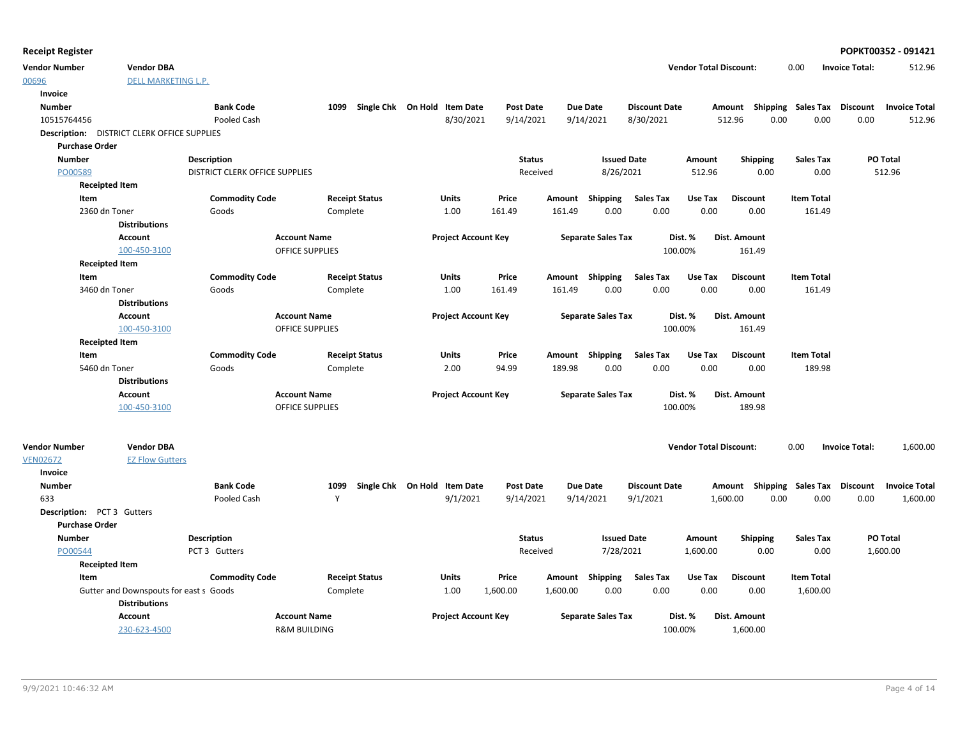|  | <b>Receipt Register</b> |
|--|-------------------------|
|--|-------------------------|

| <b>Vendor Number</b>       | <b>Vendor DBA</b>                                  |                                       |                         |                                   |                            |                  |          |                           |                      | <b>Vendor Total Discount:</b> |                                    | 0.00              | <b>Invoice Total:</b> | 512.96               |
|----------------------------|----------------------------------------------------|---------------------------------------|-------------------------|-----------------------------------|----------------------------|------------------|----------|---------------------------|----------------------|-------------------------------|------------------------------------|-------------------|-----------------------|----------------------|
| 00696                      | <b>DELL MARKETING L.P.</b>                         |                                       |                         |                                   |                            |                  |          |                           |                      |                               |                                    |                   |                       |                      |
| Invoice                    |                                                    |                                       |                         |                                   |                            |                  |          |                           |                      |                               |                                    |                   |                       |                      |
| <b>Number</b>              |                                                    | <b>Bank Code</b>                      |                         | 1099 Single Chk On Hold Item Date |                            | <b>Post Date</b> |          | Due Date                  | <b>Discount Date</b> |                               | Amount Shipping Sales Tax Discount |                   |                       | <b>Invoice Total</b> |
| 10515764456                |                                                    | Pooled Cash                           |                         |                                   | 8/30/2021                  | 9/14/2021        |          | 9/14/2021                 | 8/30/2021            |                               | 0.00<br>512.96                     | 0.00              | 0.00                  | 512.96               |
|                            | <b>Description:</b> DISTRICT CLERK OFFICE SUPPLIES |                                       |                         |                                   |                            |                  |          |                           |                      |                               |                                    |                   |                       |                      |
| <b>Purchase Order</b>      |                                                    |                                       |                         |                                   |                            |                  |          |                           |                      |                               |                                    |                   |                       |                      |
| <b>Number</b>              |                                                    | <b>Description</b>                    |                         |                                   |                            | <b>Status</b>    |          | <b>Issued Date</b>        |                      | Amount                        | <b>Shipping</b>                    | Sales Tax         |                       | PO Total             |
| PO00589                    |                                                    | <b>DISTRICT CLERK OFFICE SUPPLIES</b> |                         |                                   |                            | Received         |          | 8/26/2021                 |                      | 512.96                        | 0.00                               | 0.00              |                       | 512.96               |
|                            | <b>Receipted Item</b>                              |                                       |                         |                                   |                            |                  |          |                           |                      |                               |                                    |                   |                       |                      |
| Item                       |                                                    | <b>Commodity Code</b>                 |                         | <b>Receipt Status</b>             | Units                      | Price            |          | Amount Shipping           | <b>Sales Tax</b>     | Use Tax                       | <b>Discount</b>                    | <b>Item Total</b> |                       |                      |
|                            | 2360 dn Toner                                      | Goods                                 |                         | Complete                          | 1.00                       | 161.49           | 161.49   | 0.00                      | 0.00                 | 0.00                          | 0.00                               | 161.49            |                       |                      |
|                            | <b>Distributions</b>                               |                                       |                         |                                   |                            |                  |          |                           |                      |                               |                                    |                   |                       |                      |
|                            | Account                                            |                                       | <b>Account Name</b>     |                                   | <b>Project Account Key</b> |                  |          | <b>Separate Sales Tax</b> |                      | Dist. %                       | Dist. Amount                       |                   |                       |                      |
|                            | 100-450-3100                                       |                                       | <b>OFFICE SUPPLIES</b>  |                                   |                            |                  |          |                           | 100.00%              |                               | 161.49                             |                   |                       |                      |
|                            | <b>Receipted Item</b>                              |                                       |                         |                                   |                            |                  |          |                           |                      |                               |                                    |                   |                       |                      |
| Item                       |                                                    | <b>Commodity Code</b>                 |                         | <b>Receipt Status</b>             | Units                      | Price            |          | Amount Shipping           | Sales Tax            | Use Tax                       | <b>Discount</b>                    | <b>Item Total</b> |                       |                      |
|                            | 3460 dn Toner                                      | Goods                                 |                         | Complete                          | 1.00                       | 161.49           | 161.49   | 0.00                      | 0.00                 | 0.00                          | 0.00                               | 161.49            |                       |                      |
|                            | <b>Distributions</b>                               |                                       |                         |                                   |                            |                  |          |                           |                      |                               |                                    |                   |                       |                      |
|                            | <b>Account</b>                                     |                                       | <b>Account Name</b>     |                                   | <b>Project Account Key</b> |                  |          | <b>Separate Sales Tax</b> |                      | Dist. %                       | Dist. Amount                       |                   |                       |                      |
|                            | 100-450-3100                                       |                                       | <b>OFFICE SUPPLIES</b>  |                                   |                            |                  |          |                           | 100.00%              |                               | 161.49                             |                   |                       |                      |
|                            | <b>Receipted Item</b>                              |                                       |                         |                                   |                            |                  |          |                           |                      |                               |                                    |                   |                       |                      |
| Item                       |                                                    | <b>Commodity Code</b>                 |                         | <b>Receipt Status</b>             | Units                      | Price            |          | Amount Shipping           | <b>Sales Tax</b>     | Use Tax                       | <b>Discount</b>                    | <b>Item Total</b> |                       |                      |
|                            | 5460 dn Toner                                      | Goods                                 |                         | Complete                          | 2.00                       | 94.99            | 189.98   | 0.00                      | 0.00                 | 0.00                          | 0.00                               | 189.98            |                       |                      |
|                            | <b>Distributions</b>                               |                                       |                         |                                   |                            |                  |          |                           |                      |                               |                                    |                   |                       |                      |
|                            | Account                                            |                                       | <b>Account Name</b>     |                                   | <b>Project Account Key</b> |                  |          | <b>Separate Sales Tax</b> |                      | Dist. %                       | <b>Dist. Amount</b>                |                   |                       |                      |
|                            | 100-450-3100                                       |                                       | <b>OFFICE SUPPLIES</b>  |                                   |                            |                  |          |                           | 100.00%              |                               | 189.98                             |                   |                       |                      |
|                            |                                                    |                                       |                         |                                   |                            |                  |          |                           |                      |                               |                                    |                   |                       |                      |
| <b>Vendor Number</b>       | <b>Vendor DBA</b>                                  |                                       |                         |                                   |                            |                  |          |                           |                      | <b>Vendor Total Discount:</b> |                                    | 0.00              | <b>Invoice Total:</b> | 1,600.00             |
| <b>VEN02672</b>            | <b>EZ Flow Gutters</b>                             |                                       |                         |                                   |                            |                  |          |                           |                      |                               |                                    |                   |                       |                      |
| Invoice                    |                                                    |                                       |                         |                                   |                            |                  |          |                           |                      |                               |                                    |                   |                       |                      |
| Number                     |                                                    | <b>Bank Code</b>                      | 1099                    | Single Chk On Hold Item Date      |                            | <b>Post Date</b> |          | Due Date                  | <b>Discount Date</b> |                               | Amount Shipping Sales Tax Discount |                   |                       | <b>Invoice Total</b> |
| 633                        |                                                    | Pooled Cash                           | Y                       |                                   | 9/1/2021                   | 9/14/2021        |          | 9/14/2021                 | 9/1/2021             |                               | 1,600.00<br>0.00                   | 0.00              | 0.00                  | 1,600.00             |
| Description: PCT 3 Gutters |                                                    |                                       |                         |                                   |                            |                  |          |                           |                      |                               |                                    |                   |                       |                      |
| <b>Purchase Order</b>      |                                                    |                                       |                         |                                   |                            |                  |          |                           |                      |                               |                                    |                   |                       |                      |
| <b>Number</b>              |                                                    | <b>Description</b>                    |                         |                                   |                            | <b>Status</b>    |          | <b>Issued Date</b>        |                      | Amount                        | <b>Shipping</b>                    | <b>Sales Tax</b>  |                       | PO Total             |
| PO00544                    |                                                    | PCT 3 Gutters                         |                         |                                   |                            | Received         |          | 7/28/2021                 |                      | 1,600.00                      | 0.00                               | 0.00              |                       | 1,600.00             |
|                            | <b>Receipted Item</b>                              |                                       |                         |                                   |                            |                  |          |                           |                      |                               |                                    |                   |                       |                      |
| Item                       |                                                    | <b>Commodity Code</b>                 |                         | <b>Receipt Status</b>             | Units                      | Price            |          | Amount Shipping           | Sales Tax            | Use Tax                       | <b>Discount</b>                    | <b>Item Total</b> |                       |                      |
|                            | Gutter and Downspouts for east s Goods             |                                       | Complete                |                                   | 1.00                       | 1,600.00         | 1,600.00 | 0.00                      | 0.00                 | 0.00                          | 0.00                               | 1,600.00          |                       |                      |
|                            | <b>Distributions</b>                               |                                       |                         |                                   |                            |                  |          |                           |                      |                               |                                    |                   |                       |                      |
|                            | Account                                            |                                       | <b>Account Name</b>     |                                   | <b>Project Account Key</b> |                  |          | <b>Separate Sales Tax</b> |                      | Dist. %                       | Dist. Amount                       |                   |                       |                      |
|                            | 230-623-4500                                       |                                       | <b>R&amp;M BUILDING</b> |                                   |                            |                  |          |                           | 100.00%              |                               | 1,600.00                           |                   |                       |                      |

**Receipt Register POPKT00352 - 091421**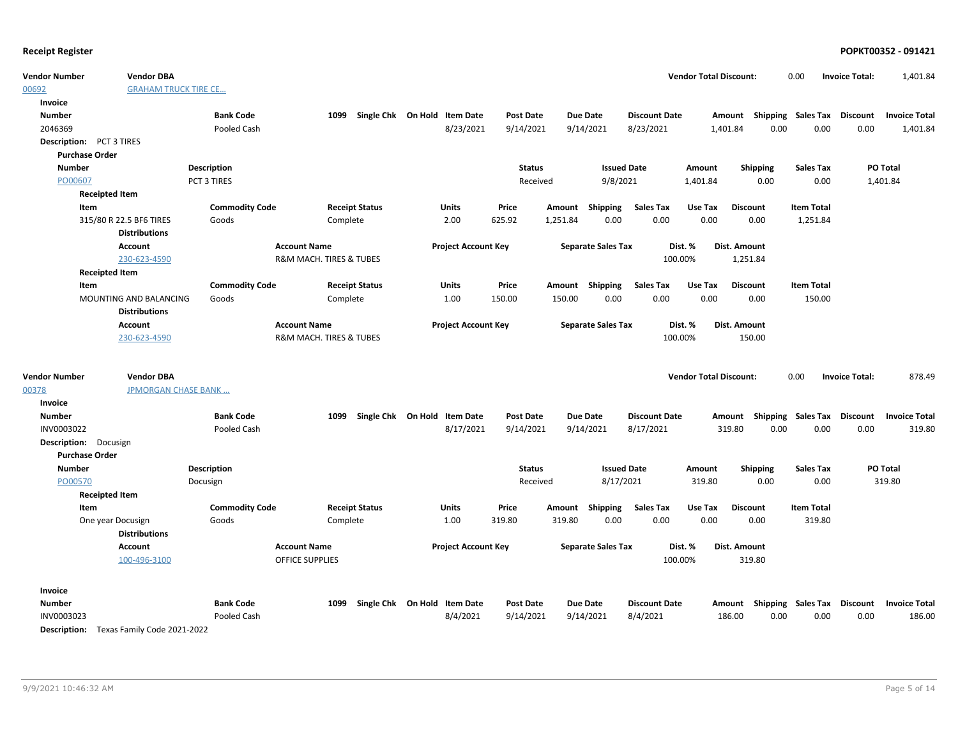| <b>Vendor Number</b>            | <b>Vendor DBA</b>           |                       |                         |                              |                            |                  |          |                           |                      | <b>Vendor Total Discount:</b> |                                    | 0.00                        | <b>Invoice Total:</b> | 1,401.84             |
|---------------------------------|-----------------------------|-----------------------|-------------------------|------------------------------|----------------------------|------------------|----------|---------------------------|----------------------|-------------------------------|------------------------------------|-----------------------------|-----------------------|----------------------|
| 00692                           | <b>GRAHAM TRUCK TIRE CE</b> |                       |                         |                              |                            |                  |          |                           |                      |                               |                                    |                             |                       |                      |
| Invoice                         |                             |                       |                         |                              |                            |                  |          |                           |                      |                               |                                    |                             |                       |                      |
| <b>Number</b>                   |                             | <b>Bank Code</b>      | 1099                    | Single Chk On Hold Item Date |                            | <b>Post Date</b> |          | <b>Due Date</b>           | <b>Discount Date</b> |                               | Amount Shipping Sales Tax Discount |                             |                       | <b>Invoice Total</b> |
| 2046369                         |                             | Pooled Cash           |                         |                              | 8/23/2021                  | 9/14/2021        |          | 9/14/2021                 | 8/23/2021            |                               | 0.00<br>1,401.84                   | 0.00                        | 0.00                  | 1,401.84             |
| <b>Description:</b> PCT 3 TIRES |                             |                       |                         |                              |                            |                  |          |                           |                      |                               |                                    |                             |                       |                      |
| <b>Purchase Order</b>           |                             |                       |                         |                              |                            |                  |          |                           |                      |                               |                                    |                             |                       |                      |
| <b>Number</b>                   |                             | <b>Description</b>    |                         |                              |                            | <b>Status</b>    |          | <b>Issued Date</b>        |                      | Amount                        | <b>Shipping</b>                    | <b>Sales Tax</b>            |                       | PO Total             |
| PO00607                         |                             | PCT 3 TIRES           |                         |                              |                            | Received         |          | 9/8/2021                  |                      | 1,401.84                      | 0.00                               | 0.00                        |                       | 1,401.84             |
| <b>Receipted Item</b>           |                             |                       |                         |                              |                            |                  |          |                           |                      |                               |                                    |                             |                       |                      |
| Item                            |                             | <b>Commodity Code</b> |                         | <b>Receipt Status</b>        | Units                      | Price            | Amount   | Shipping                  | <b>Sales Tax</b>     | Use Tax                       | <b>Discount</b>                    | <b>Item Total</b>           |                       |                      |
|                                 | 315/80 R 22.5 BF6 TIRES     | Goods                 | Complete                |                              | 2.00                       | 625.92           | 1,251.84 | 0.00                      | 0.00                 | 0.00                          | 0.00                               | 1,251.84                    |                       |                      |
|                                 | <b>Distributions</b>        |                       |                         |                              |                            |                  |          |                           |                      |                               |                                    |                             |                       |                      |
|                                 | <b>Account</b>              |                       | <b>Account Name</b>     |                              | <b>Project Account Key</b> |                  |          | <b>Separate Sales Tax</b> |                      | Dist. %                       | Dist. Amount                       |                             |                       |                      |
|                                 | 230-623-4590                |                       | R&M MACH. TIRES & TUBES |                              |                            |                  |          |                           | 100.00%              |                               | 1,251.84                           |                             |                       |                      |
| <b>Receipted Item</b>           |                             |                       |                         |                              |                            |                  |          |                           |                      |                               |                                    |                             |                       |                      |
| Item                            |                             | <b>Commodity Code</b> |                         | <b>Receipt Status</b>        | <b>Units</b>               | Price            |          | Amount Shipping           | <b>Sales Tax</b>     | Use Tax                       | <b>Discount</b>                    | <b>Item Total</b>           |                       |                      |
|                                 | MOUNTING AND BALANCING      | Goods                 | Complete                |                              | 1.00                       | 150.00           | 150.00   | 0.00                      | 0.00                 | 0.00                          | 0.00                               | 150.00                      |                       |                      |
|                                 | <b>Distributions</b>        |                       |                         |                              |                            |                  |          |                           |                      |                               |                                    |                             |                       |                      |
|                                 | <b>Account</b>              |                       | <b>Account Name</b>     |                              | <b>Project Account Key</b> |                  |          | <b>Separate Sales Tax</b> |                      | Dist. %                       | Dist. Amount                       |                             |                       |                      |
|                                 | 230-623-4590                |                       | R&M MACH. TIRES & TUBES |                              |                            |                  |          |                           | 100.00%              |                               | 150.00                             |                             |                       |                      |
|                                 |                             |                       |                         |                              |                            |                  |          |                           |                      |                               |                                    |                             |                       |                      |
| <b>Vendor Number</b>            | <b>Vendor DBA</b>           |                       |                         |                              |                            |                  |          |                           |                      | <b>Vendor Total Discount:</b> |                                    | 0.00                        | <b>Invoice Total:</b> | 878.49               |
| 00378                           | <b>JPMORGAN CHASE BANK </b> |                       |                         |                              |                            |                  |          |                           |                      |                               |                                    |                             |                       |                      |
| Invoice                         |                             |                       |                         |                              |                            |                  |          |                           |                      |                               |                                    |                             |                       |                      |
| <b>Number</b>                   |                             | <b>Bank Code</b>      | 1099                    | Single Chk On Hold Item Date |                            | <b>Post Date</b> |          | <b>Due Date</b>           | <b>Discount Date</b> |                               | Amount Shipping Sales Tax Discount |                             |                       | <b>Invoice Total</b> |
| INV0003022                      |                             | Pooled Cash           |                         |                              | 8/17/2021                  | 9/14/2021        |          | 9/14/2021                 | 8/17/2021            |                               | 319.80<br>0.00                     | 0.00                        | 0.00                  | 319.80               |
| Description: Docusign           |                             |                       |                         |                              |                            |                  |          |                           |                      |                               |                                    |                             |                       |                      |
| <b>Purchase Order</b>           |                             |                       |                         |                              |                            |                  |          |                           |                      |                               |                                    |                             |                       |                      |
| <b>Number</b>                   |                             | <b>Description</b>    |                         |                              |                            | <b>Status</b>    |          | <b>Issued Date</b>        |                      | Amount                        | <b>Shipping</b>                    | <b>Sales Tax</b>            |                       | PO Total             |
| PO00570                         |                             | Docusign              |                         |                              |                            | Received         |          | 8/17/2021                 |                      | 319.80                        | 0.00                               | 0.00                        |                       | 319.80               |
| <b>Receipted Item</b>           |                             |                       |                         |                              |                            |                  |          |                           |                      |                               |                                    |                             |                       |                      |
| Item                            |                             | <b>Commodity Code</b> |                         | <b>Receipt Status</b>        | Units                      | Price            |          | Amount Shipping           | <b>Sales Tax</b>     | Use Tax                       | <b>Discount</b>                    | <b>Item Total</b>           |                       |                      |
|                                 | One year Docusign           | Goods                 | Complete                |                              | 1.00                       | 319.80           | 319.80   | 0.00                      | 0.00                 | 0.00                          | 0.00                               | 319.80                      |                       |                      |
|                                 | <b>Distributions</b>        |                       |                         |                              |                            |                  |          |                           |                      |                               |                                    |                             |                       |                      |
|                                 | <b>Account</b>              |                       | <b>Account Name</b>     |                              | <b>Project Account Key</b> |                  |          | <b>Separate Sales Tax</b> |                      | Dist. %                       | <b>Dist. Amount</b>                |                             |                       |                      |
|                                 | 100-496-3100                |                       | <b>OFFICE SUPPLIES</b>  |                              |                            |                  |          |                           | 100.00%              |                               | 319.80                             |                             |                       |                      |
| Invoice                         |                             |                       |                         |                              |                            |                  |          |                           |                      |                               |                                    |                             |                       |                      |
| <b>Number</b>                   |                             | <b>Bank Code</b>      | 1099                    | Single Chk On Hold Item Date |                            | <b>Post Date</b> |          | <b>Due Date</b>           | <b>Discount Date</b> |                               | Amount                             | Shipping Sales Tax Discount |                       | <b>Invoice Total</b> |
| INV0003023                      |                             | Pooled Cash           |                         |                              | 8/4/2021                   | 9/14/2021        |          | 9/14/2021                 | 8/4/2021             |                               | 186.00<br>0.00                     | 0.00                        | 0.00                  | 186.00               |

Description: Texas Family Code 2021-2022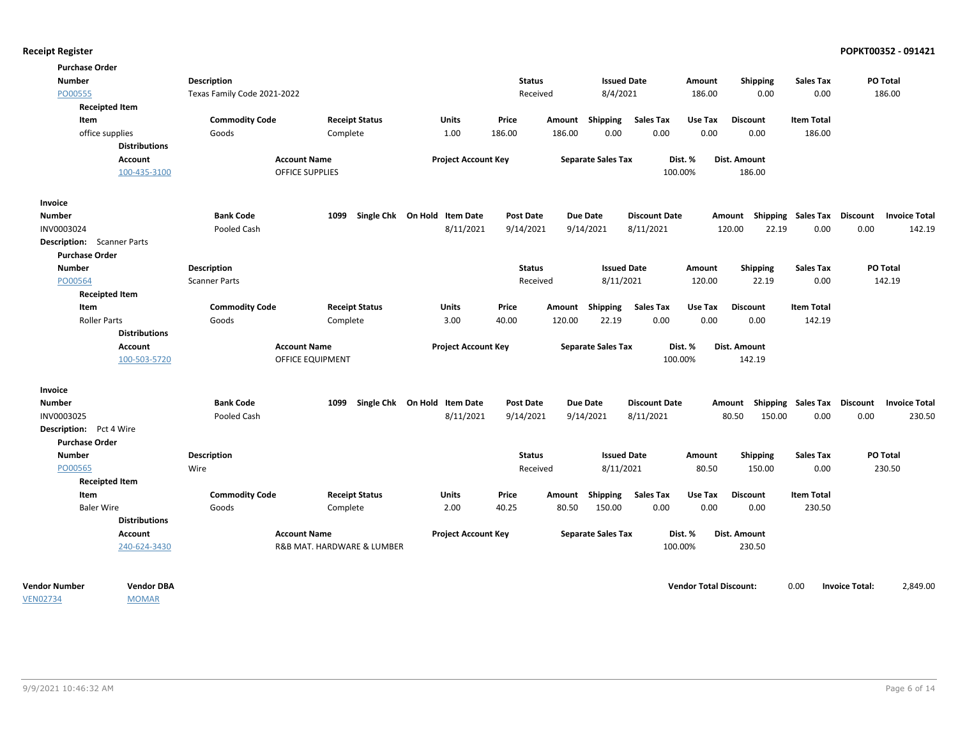| <b>Purchase Order</b>             |                       |                             |                            |                                   |                  |        |                           |                      |                               |                                                  |                    |                       |                      |
|-----------------------------------|-----------------------|-----------------------------|----------------------------|-----------------------------------|------------------|--------|---------------------------|----------------------|-------------------------------|--------------------------------------------------|--------------------|-----------------------|----------------------|
| <b>Number</b>                     |                       | <b>Description</b>          |                            |                                   | <b>Status</b>    |        | <b>Issued Date</b>        |                      | Amount                        | <b>Shipping</b>                                  | <b>Sales Tax</b>   | PO Total              |                      |
| PO00555                           |                       | Texas Family Code 2021-2022 |                            |                                   | Received         |        | 8/4/2021                  |                      | 186.00                        | 0.00                                             | 0.00               | 186.00                |                      |
|                                   | <b>Receipted Item</b> |                             |                            |                                   |                  |        |                           |                      |                               |                                                  |                    |                       |                      |
| Item                              |                       | <b>Commodity Code</b>       | <b>Receipt Status</b>      | Units                             | Price            |        | Amount Shipping           | Sales Tax            | Use Tax                       | <b>Discount</b>                                  | <b>Item Total</b>  |                       |                      |
| office supplies                   |                       | Goods                       | Complete                   | 1.00                              | 186.00           | 186.00 | 0.00                      | 0.00                 | 0.00                          | 0.00                                             | 186.00             |                       |                      |
|                                   | <b>Distributions</b>  |                             |                            |                                   |                  |        |                           |                      |                               |                                                  |                    |                       |                      |
|                                   | Account               |                             | <b>Account Name</b>        | <b>Project Account Key</b>        |                  |        | <b>Separate Sales Tax</b> |                      | Dist. %                       | Dist. Amount                                     |                    |                       |                      |
|                                   | 100-435-3100          |                             | <b>OFFICE SUPPLIES</b>     |                                   |                  |        |                           |                      | 100.00%                       | 186.00                                           |                    |                       |                      |
| Invoice                           |                       |                             |                            |                                   |                  |        |                           |                      |                               |                                                  |                    |                       |                      |
| Number                            |                       | <b>Bank Code</b>            |                            | 1099 Single Chk On Hold Item Date | <b>Post Date</b> |        | Due Date                  | <b>Discount Date</b> |                               | Amount Shipping Sales Tax Discount Invoice Total |                    |                       |                      |
| INV0003024                        |                       | Pooled Cash                 |                            | 8/11/2021                         | 9/14/2021        |        | 9/14/2021                 | 8/11/2021            |                               | 120.00<br>22.19                                  | 0.00               | 0.00                  | 142.19               |
| <b>Description:</b> Scanner Parts |                       |                             |                            |                                   |                  |        |                           |                      |                               |                                                  |                    |                       |                      |
| <b>Purchase Order</b>             |                       |                             |                            |                                   |                  |        |                           |                      |                               |                                                  |                    |                       |                      |
| <b>Number</b>                     |                       | <b>Description</b>          |                            |                                   | <b>Status</b>    |        | <b>Issued Date</b>        |                      | Amount                        | Shipping                                         | <b>Sales Tax</b>   | PO Total              |                      |
| PO00564                           |                       | <b>Scanner Parts</b>        |                            |                                   | Received         |        | 8/11/2021                 |                      | 120.00                        | 22.19                                            | 0.00               | 142.19                |                      |
|                                   | <b>Receipted Item</b> |                             |                            |                                   |                  |        |                           |                      |                               |                                                  |                    |                       |                      |
| Item                              |                       | <b>Commodity Code</b>       | <b>Receipt Status</b>      | <b>Units</b>                      | Price            | Amount | Shipping                  | <b>Sales Tax</b>     | Use Tax                       | <b>Discount</b>                                  | <b>Item Total</b>  |                       |                      |
| <b>Roller Parts</b>               |                       | Goods                       | Complete                   | 3.00                              | 40.00            | 120.00 | 22.19                     | 0.00                 | 0.00                          | 0.00                                             | 142.19             |                       |                      |
|                                   | <b>Distributions</b>  |                             |                            |                                   |                  |        |                           |                      |                               |                                                  |                    |                       |                      |
|                                   | Account               |                             | <b>Account Name</b>        | <b>Project Account Key</b>        |                  |        | <b>Separate Sales Tax</b> |                      | Dist. %                       | Dist. Amount                                     |                    |                       |                      |
|                                   | 100-503-5720          |                             | <b>OFFICE EQUIPMENT</b>    |                                   |                  |        |                           |                      | 100.00%                       | 142.19                                           |                    |                       |                      |
| Invoice                           |                       |                             |                            |                                   |                  |        |                           |                      |                               |                                                  |                    |                       |                      |
| <b>Number</b>                     |                       | <b>Bank Code</b>            | 1099                       | Single Chk On Hold Item Date      | <b>Post Date</b> |        | Due Date                  | <b>Discount Date</b> |                               | Amount                                           | Shipping Sales Tax | <b>Discount</b>       | <b>Invoice Total</b> |
| INV0003025                        |                       | Pooled Cash                 |                            | 8/11/2021                         | 9/14/2021        |        | 9/14/2021                 | 8/11/2021            |                               | 150.00<br>80.50                                  | 0.00               | 0.00                  | 230.50               |
| <b>Description:</b> Pct 4 Wire    |                       |                             |                            |                                   |                  |        |                           |                      |                               |                                                  |                    |                       |                      |
| <b>Purchase Order</b>             |                       |                             |                            |                                   |                  |        |                           |                      |                               |                                                  |                    |                       |                      |
| <b>Number</b>                     |                       | <b>Description</b>          |                            |                                   | <b>Status</b>    |        | <b>Issued Date</b>        |                      | Amount                        | Shipping                                         | <b>Sales Tax</b>   | PO Total              |                      |
| PO00565                           |                       | Wire                        |                            |                                   | Received         |        | 8/11/2021                 |                      | 80.50                         | 150.00                                           | 0.00               | 230.50                |                      |
|                                   | <b>Receipted Item</b> |                             |                            |                                   |                  |        |                           |                      |                               |                                                  |                    |                       |                      |
| Item                              |                       | <b>Commodity Code</b>       | <b>Receipt Status</b>      | <b>Units</b>                      | Price            | Amount | Shipping                  | <b>Sales Tax</b>     | Use Tax                       | <b>Discount</b>                                  | <b>Item Total</b>  |                       |                      |
| <b>Baler Wire</b>                 |                       | Goods                       | Complete                   | 2.00                              | 40.25            | 80.50  | 150.00                    | 0.00                 | 0.00                          | 0.00                                             | 230.50             |                       |                      |
|                                   | <b>Distributions</b>  |                             |                            |                                   |                  |        |                           |                      |                               |                                                  |                    |                       |                      |
|                                   | Account               |                             | <b>Account Name</b>        | <b>Project Account Key</b>        |                  |        | <b>Separate Sales Tax</b> |                      | Dist. %                       | Dist. Amount                                     |                    |                       |                      |
|                                   | 240-624-3430          |                             | R&B MAT. HARDWARE & LUMBER |                                   |                  |        |                           |                      | 100.00%                       | 230.50                                           |                    |                       |                      |
|                                   |                       |                             |                            |                                   |                  |        |                           |                      |                               |                                                  |                    |                       |                      |
| <b>Vendor Number</b>              | <b>Vendor DBA</b>     |                             |                            |                                   |                  |        |                           |                      | <b>Vendor Total Discount:</b> |                                                  | 0.00               | <b>Invoice Total:</b> | 2,849.00             |

VEN02734

MOMAR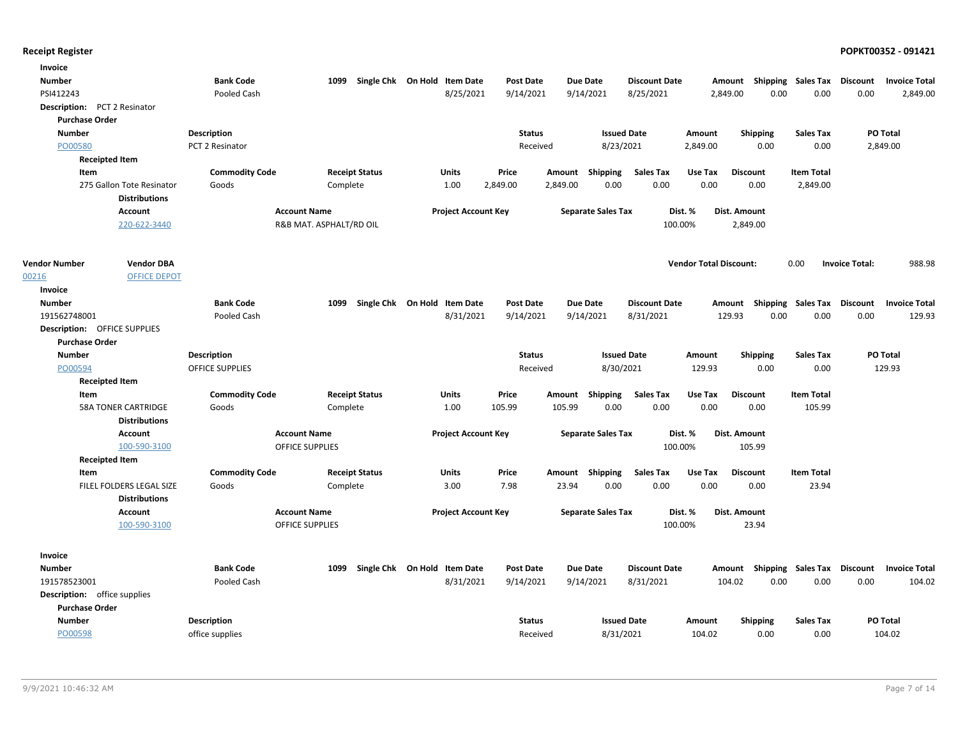| Invoice                             |                            |                        |                         |                              |                            |                  |          |                           |                      |                               |                           |                           |                       |                      |
|-------------------------------------|----------------------------|------------------------|-------------------------|------------------------------|----------------------------|------------------|----------|---------------------------|----------------------|-------------------------------|---------------------------|---------------------------|-----------------------|----------------------|
| <b>Number</b>                       |                            | <b>Bank Code</b>       | 1099                    | Single Chk On Hold Item Date |                            | <b>Post Date</b> |          | Due Date                  | <b>Discount Date</b> | Amount                        |                           | <b>Shipping Sales Tax</b> | Discount              | <b>Invoice Total</b> |
| PSI412243                           |                            | Pooled Cash            |                         |                              | 8/25/2021                  | 9/14/2021        |          | 9/14/2021                 | 8/25/2021            | 2,849.00                      | 0.00                      | 0.00                      | 0.00                  | 2,849.00             |
| Description: PCT 2 Resinator        |                            |                        |                         |                              |                            |                  |          |                           |                      |                               |                           |                           |                       |                      |
| <b>Purchase Order</b>               |                            |                        |                         |                              |                            |                  |          |                           |                      |                               |                           |                           |                       |                      |
| <b>Number</b>                       |                            | <b>Description</b>     |                         |                              |                            | <b>Status</b>    |          | <b>Issued Date</b>        |                      | Amount                        | <b>Shipping</b>           | <b>Sales Tax</b>          |                       | PO Total             |
| PO00580                             |                            | PCT 2 Resinator        |                         |                              |                            | Received         |          | 8/23/2021                 |                      | 2,849.00                      | 0.00                      | 0.00                      |                       | 2,849.00             |
|                                     | <b>Receipted Item</b>      |                        |                         |                              |                            |                  |          |                           |                      |                               |                           |                           |                       |                      |
| Item                                |                            | <b>Commodity Code</b>  |                         | <b>Receipt Status</b>        | Units                      | Price            | Amount   | Shipping                  | <b>Sales Tax</b>     | Use Tax                       | <b>Discount</b>           | <b>Item Total</b>         |                       |                      |
|                                     | 275 Gallon Tote Resinator  | Goods                  | Complete                |                              | 1.00                       | 2,849.00         | 2,849.00 | 0.00                      | 0.00                 | 0.00                          | 0.00                      | 2,849.00                  |                       |                      |
|                                     | <b>Distributions</b>       |                        |                         |                              |                            |                  |          |                           |                      |                               |                           |                           |                       |                      |
|                                     | Account                    |                        | <b>Account Name</b>     |                              | <b>Project Account Key</b> |                  |          | <b>Separate Sales Tax</b> |                      | Dist. %                       | Dist. Amount              |                           |                       |                      |
|                                     | 220-622-3440               |                        | R&B MAT. ASPHALT/RD OIL |                              |                            |                  |          |                           | 100.00%              |                               | 2,849.00                  |                           |                       |                      |
|                                     |                            |                        |                         |                              |                            |                  |          |                           |                      |                               |                           |                           |                       |                      |
| <b>Vendor Number</b>                | <b>Vendor DBA</b>          |                        |                         |                              |                            |                  |          |                           |                      | <b>Vendor Total Discount:</b> |                           | 0.00                      | <b>Invoice Total:</b> | 988.98               |
| 00216                               | <b>OFFICE DEPOT</b>        |                        |                         |                              |                            |                  |          |                           |                      |                               |                           |                           |                       |                      |
| Invoice                             |                            |                        |                         |                              |                            |                  |          |                           |                      |                               |                           |                           |                       |                      |
| <b>Number</b>                       |                            | <b>Bank Code</b>       | 1099                    | Single Chk On Hold Item Date |                            | <b>Post Date</b> |          | Due Date                  | <b>Discount Date</b> | Amount                        |                           | Shipping Sales Tax        | <b>Discount</b>       | <b>Invoice Total</b> |
| 191562748001                        |                            | Pooled Cash            |                         |                              | 8/31/2021                  | 9/14/2021        |          | 9/14/2021                 | 8/31/2021            | 129.93                        | 0.00                      | 0.00                      | 0.00                  | 129.93               |
| <b>Description: OFFICE SUPPLIES</b> |                            |                        |                         |                              |                            |                  |          |                           |                      |                               |                           |                           |                       |                      |
| <b>Purchase Order</b>               |                            |                        |                         |                              |                            |                  |          |                           |                      |                               |                           |                           |                       |                      |
| <b>Number</b>                       |                            | <b>Description</b>     |                         |                              |                            | <b>Status</b>    |          | <b>Issued Date</b>        |                      | Amount                        | <b>Shipping</b>           | <b>Sales Tax</b>          |                       | PO Total             |
| PO00594                             |                            | <b>OFFICE SUPPLIES</b> |                         |                              |                            | Received         |          | 8/30/2021                 |                      | 129.93                        | 0.00                      | 0.00                      |                       | 129.93               |
|                                     | <b>Receipted Item</b>      |                        |                         |                              |                            |                  |          |                           |                      |                               |                           |                           |                       |                      |
| Item                                |                            | <b>Commodity Code</b>  |                         | <b>Receipt Status</b>        | Units                      | Price            | Amount   | Shipping                  | <b>Sales Tax</b>     | Use Tax                       | <b>Discount</b>           | <b>Item Total</b>         |                       |                      |
|                                     | <b>58A TONER CARTRIDGE</b> | Goods                  | Complete                |                              | 1.00                       | 105.99           | 105.99   | 0.00                      | 0.00                 | 0.00                          | 0.00                      | 105.99                    |                       |                      |
|                                     | <b>Distributions</b>       |                        |                         |                              |                            |                  |          |                           |                      |                               |                           |                           |                       |                      |
|                                     | <b>Account</b>             |                        | <b>Account Name</b>     |                              | <b>Project Account Key</b> |                  |          | <b>Separate Sales Tax</b> |                      | Dist. %                       | Dist. Amount              |                           |                       |                      |
|                                     | 100-590-3100               |                        | OFFICE SUPPLIES         |                              |                            |                  |          |                           | 100.00%              |                               | 105.99                    |                           |                       |                      |
|                                     | <b>Receipted Item</b>      |                        |                         |                              |                            |                  |          |                           |                      |                               |                           |                           |                       |                      |
| Item                                |                            | <b>Commodity Code</b>  |                         | <b>Receipt Status</b>        | <b>Units</b>               | Price            |          | Amount Shipping           | <b>Sales Tax</b>     | Use Tax                       | <b>Discount</b>           | <b>Item Total</b>         |                       |                      |
|                                     | FILEL FOLDERS LEGAL SIZE   | Goods                  | Complete                |                              | 3.00                       | 7.98             | 23.94    | 0.00                      | 0.00                 | 0.00                          | 0.00                      | 23.94                     |                       |                      |
|                                     | <b>Distributions</b>       |                        |                         |                              |                            |                  |          |                           |                      |                               |                           |                           |                       |                      |
|                                     | <b>Account</b>             |                        | <b>Account Name</b>     |                              | <b>Project Account Key</b> |                  |          | <b>Separate Sales Tax</b> |                      | Dist. %                       | Dist. Amount              |                           |                       |                      |
|                                     | 100-590-3100               |                        | <b>OFFICE SUPPLIES</b>  |                              |                            |                  |          |                           | 100.00%              |                               | 23.94                     |                           |                       |                      |
|                                     |                            |                        |                         |                              |                            |                  |          |                           |                      |                               |                           |                           |                       |                      |
| Invoice                             |                            |                        |                         |                              |                            |                  |          |                           |                      |                               |                           |                           |                       |                      |
| <b>Number</b>                       |                            | <b>Bank Code</b>       | 1099                    | Single Chk On Hold Item Date |                            | <b>Post Date</b> |          | <b>Due Date</b>           | <b>Discount Date</b> |                               | Amount Shipping Sales Tax |                           | Discount              | <b>Invoice Total</b> |
| 191578523001                        |                            | Pooled Cash            |                         |                              | 8/31/2021                  | 9/14/2021        |          | 9/14/2021                 | 8/31/2021            | 104.02                        | 0.00                      | 0.00                      | 0.00                  | 104.02               |
| <b>Description:</b> office supplies |                            |                        |                         |                              |                            |                  |          |                           |                      |                               |                           |                           |                       |                      |
| <b>Purchase Order</b>               |                            |                        |                         |                              |                            |                  |          |                           |                      |                               |                           |                           |                       |                      |
| <b>Number</b>                       |                            | <b>Description</b>     |                         |                              |                            | <b>Status</b>    |          | <b>Issued Date</b>        |                      | <b>Amount</b>                 | <b>Shipping</b>           | <b>Sales Tax</b>          |                       | PO Total             |
| PO00598                             |                            | office supplies        |                         |                              |                            | Received         |          | 8/31/2021                 |                      | 104.02                        | 0.00                      | 0.00                      |                       | 104.02               |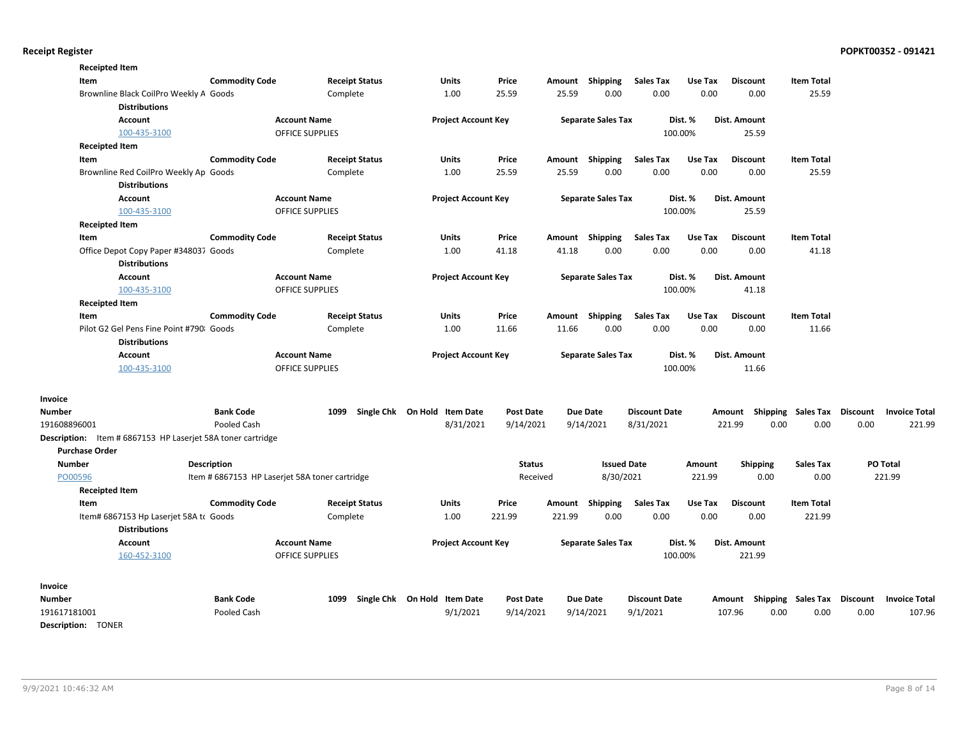| <b>Receipted Item</b><br>Item |                                                                    | <b>Commodity Code</b> |                                                | <b>Receipt Status</b> | <b>Units</b>                 | Price            |        | Amount Shipping           | <b>Sales Tax</b>     | Use Tax | <b>Discount</b>     | <b>Item Total</b>                  |                 |                      |
|-------------------------------|--------------------------------------------------------------------|-----------------------|------------------------------------------------|-----------------------|------------------------------|------------------|--------|---------------------------|----------------------|---------|---------------------|------------------------------------|-----------------|----------------------|
|                               | Brownline Black CoilPro Weekly A Goods                             |                       |                                                | Complete              | 1.00                         | 25.59            | 25.59  | 0.00                      | 0.00                 | 0.00    | 0.00                | 25.59                              |                 |                      |
|                               | <b>Distributions</b>                                               |                       |                                                |                       |                              |                  |        |                           |                      |         |                     |                                    |                 |                      |
|                               | <b>Account</b>                                                     |                       | <b>Account Name</b>                            |                       | <b>Project Account Key</b>   |                  |        | <b>Separate Sales Tax</b> |                      | Dist. % | Dist. Amount        |                                    |                 |                      |
|                               | 100-435-3100                                                       |                       | <b>OFFICE SUPPLIES</b>                         |                       |                              |                  |        |                           |                      | 100.00% | 25.59               |                                    |                 |                      |
| <b>Receipted Item</b>         |                                                                    |                       |                                                |                       |                              |                  |        |                           |                      |         |                     |                                    |                 |                      |
| Item                          |                                                                    | <b>Commodity Code</b> |                                                | <b>Receipt Status</b> | <b>Units</b>                 | Price            | Amount | Shipping                  | <b>Sales Tax</b>     | Use Tax | <b>Discount</b>     | <b>Item Total</b>                  |                 |                      |
|                               | Brownline Red CoilPro Weekly Ap Goods                              |                       |                                                | Complete              | 1.00                         | 25.59            | 25.59  | 0.00                      | 0.00                 | 0.00    | 0.00                | 25.59                              |                 |                      |
|                               | <b>Distributions</b>                                               |                       |                                                |                       |                              |                  |        |                           |                      |         |                     |                                    |                 |                      |
|                               | Account                                                            |                       | <b>Account Name</b>                            |                       | <b>Project Account Key</b>   |                  |        | <b>Separate Sales Tax</b> |                      | Dist. % | Dist. Amount        |                                    |                 |                      |
|                               | 100-435-3100                                                       |                       | OFFICE SUPPLIES                                |                       |                              |                  |        |                           |                      | 100.00% | 25.59               |                                    |                 |                      |
| <b>Receipted Item</b>         |                                                                    |                       |                                                |                       |                              |                  |        |                           |                      |         |                     |                                    |                 |                      |
| Item                          |                                                                    | <b>Commodity Code</b> |                                                | <b>Receipt Status</b> | Units                        | Price            |        | Amount Shipping           | <b>Sales Tax</b>     | Use Tax | <b>Discount</b>     | <b>Item Total</b>                  |                 |                      |
|                               | Office Depot Copy Paper #348037 Goods                              |                       |                                                | Complete              | 1.00                         | 41.18            | 41.18  | 0.00                      | 0.00                 | 0.00    | 0.00                | 41.18                              |                 |                      |
|                               | <b>Distributions</b>                                               |                       |                                                |                       |                              |                  |        |                           |                      |         |                     |                                    |                 |                      |
|                               | Account                                                            |                       | <b>Account Name</b>                            |                       | <b>Project Account Key</b>   |                  |        | <b>Separate Sales Tax</b> |                      | Dist. % | Dist. Amount        |                                    |                 |                      |
|                               | 100-435-3100                                                       |                       | <b>OFFICE SUPPLIES</b>                         |                       |                              |                  |        |                           |                      | 100.00% | 41.18               |                                    |                 |                      |
| <b>Receipted Item</b>         |                                                                    |                       |                                                |                       |                              |                  |        |                           |                      |         |                     |                                    |                 |                      |
| Item                          |                                                                    | <b>Commodity Code</b> |                                                | <b>Receipt Status</b> | <b>Units</b>                 | Price            |        | Amount Shipping           | <b>Sales Tax</b>     | Use Tax | <b>Discount</b>     | <b>Item Total</b>                  |                 |                      |
|                               | Pilot G2 Gel Pens Fine Point #790 Goods                            |                       |                                                | Complete              | 1.00                         | 11.66            | 11.66  | 0.00                      | 0.00                 | 0.00    | 0.00                | 11.66                              |                 |                      |
|                               | <b>Distributions</b>                                               |                       |                                                |                       |                              |                  |        |                           |                      |         |                     |                                    |                 |                      |
|                               | Account                                                            |                       | <b>Account Name</b>                            |                       | <b>Project Account Key</b>   |                  |        | <b>Separate Sales Tax</b> |                      | Dist. % | <b>Dist. Amount</b> |                                    |                 |                      |
|                               | 100-435-3100                                                       |                       | <b>OFFICE SUPPLIES</b>                         |                       |                              |                  |        |                           |                      | 100.00% | 11.66               |                                    |                 |                      |
| Invoice                       |                                                                    |                       |                                                |                       |                              |                  |        |                           |                      |         |                     |                                    |                 |                      |
| <b>Number</b>                 |                                                                    | <b>Bank Code</b>      | 1099                                           |                       | Single Chk On Hold Item Date | Post Date        |        | <b>Due Date</b>           | <b>Discount Date</b> |         |                     | Amount Shipping Sales Tax          | <b>Discount</b> | <b>Invoice Total</b> |
| 191608896001                  |                                                                    | Pooled Cash           |                                                |                       | 8/31/2021                    | 9/14/2021        |        | 9/14/2021                 | 8/31/2021            |         | 221.99              | 0.00<br>0.00                       | 0.00            | 221.99               |
|                               | <b>Description:</b> Item # 6867153 HP Laserjet 58A toner cartridge |                       |                                                |                       |                              |                  |        |                           |                      |         |                     |                                    |                 |                      |
| <b>Purchase Order</b>         |                                                                    |                       |                                                |                       |                              |                  |        |                           |                      |         |                     |                                    |                 |                      |
| <b>Number</b>                 |                                                                    | <b>Description</b>    |                                                |                       |                              | <b>Status</b>    |        | <b>Issued Date</b>        |                      | Amount  | <b>Shipping</b>     | <b>Sales Tax</b>                   |                 | PO Total             |
| PO00596                       |                                                                    |                       | Item # 6867153 HP Laserjet 58A toner cartridge |                       |                              | Received         |        | 8/30/2021                 |                      | 221.99  | 0.00                | 0.00                               |                 | 221.99               |
| <b>Receipted Item</b>         |                                                                    |                       |                                                |                       |                              |                  |        |                           |                      |         |                     |                                    |                 |                      |
| Item                          |                                                                    | <b>Commodity Code</b> |                                                | <b>Receipt Status</b> | <b>Units</b>                 | Price            | Amount | Shipping                  | <b>Sales Tax</b>     | Use Tax | <b>Discount</b>     | <b>Item Total</b>                  |                 |                      |
|                               | Item# 6867153 Hp Laserjet 58A to Goods                             |                       |                                                | Complete              | 1.00                         | 221.99           | 221.99 | 0.00                      | 0.00                 | 0.00    | 0.00                | 221.99                             |                 |                      |
|                               | <b>Distributions</b>                                               |                       |                                                |                       |                              |                  |        |                           |                      |         |                     |                                    |                 |                      |
|                               | <b>Account</b>                                                     |                       | <b>Account Name</b>                            |                       | <b>Project Account Key</b>   |                  |        | <b>Separate Sales Tax</b> |                      | Dist. % | Dist. Amount        |                                    |                 |                      |
|                               | 160-452-3100                                                       |                       | <b>OFFICE SUPPLIES</b>                         |                       |                              |                  |        |                           |                      | 100.00% | 221.99              |                                    |                 |                      |
| Invoice                       |                                                                    |                       |                                                |                       |                              |                  |        |                           |                      |         |                     |                                    |                 |                      |
| Number                        |                                                                    | <b>Bank Code</b>      | 1099                                           |                       | Single Chk On Hold Item Date | <b>Post Date</b> |        | Due Date                  | <b>Discount Date</b> |         |                     | Amount Shipping Sales Tax Discount |                 | <b>Invoice Total</b> |
| 191617181001                  |                                                                    | Pooled Cash           |                                                |                       | 9/1/2021                     | 9/14/2021        |        | 9/14/2021                 | 9/1/2021             |         | 107.96              | 0.00<br>0.00                       | 0.00            | 107.96               |
| <b>Description: TONER</b>     |                                                                    |                       |                                                |                       |                              |                  |        |                           |                      |         |                     |                                    |                 |                      |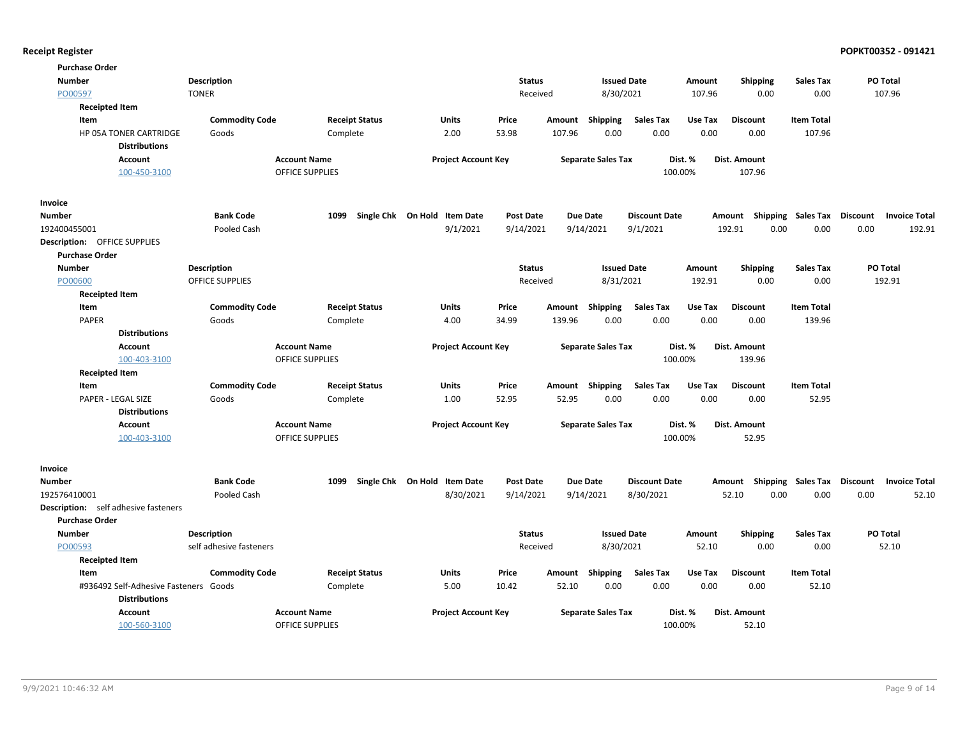| <b>Purchase Order</b>                       |                         |                        |                              |                  |        |                           |                      |         |                     |                   |                 |                      |
|---------------------------------------------|-------------------------|------------------------|------------------------------|------------------|--------|---------------------------|----------------------|---------|---------------------|-------------------|-----------------|----------------------|
| <b>Number</b>                               | <b>Description</b>      |                        |                              | <b>Status</b>    |        | <b>Issued Date</b>        |                      | Amount  | <b>Shipping</b>     | <b>Sales Tax</b>  | PO Total        |                      |
| PO00597                                     | <b>TONER</b>            |                        |                              | Received         |        | 8/30/2021                 |                      | 107.96  | 0.00                | 0.00              |                 | 107.96               |
| <b>Receipted Item</b>                       |                         |                        |                              |                  |        |                           |                      |         |                     |                   |                 |                      |
| Item                                        | <b>Commodity Code</b>   | <b>Receipt Status</b>  | <b>Units</b>                 | Price            | Amount | Shipping                  | <b>Sales Tax</b>     | Use Tax | <b>Discount</b>     | <b>Item Total</b> |                 |                      |
| HP 05A TONER CARTRIDGE                      | Goods                   | Complete               | 2.00                         | 53.98            | 107.96 | 0.00                      | 0.00                 | 0.00    | 0.00                | 107.96            |                 |                      |
| <b>Distributions</b>                        |                         |                        |                              |                  |        |                           |                      |         |                     |                   |                 |                      |
| Account                                     |                         | <b>Account Name</b>    | <b>Project Account Key</b>   |                  |        | <b>Separate Sales Tax</b> |                      | Dist. % | <b>Dist. Amount</b> |                   |                 |                      |
| 100-450-3100                                |                         | <b>OFFICE SUPPLIES</b> |                              |                  |        |                           | 100.00%              |         | 107.96              |                   |                 |                      |
| Invoice                                     |                         |                        |                              |                  |        |                           |                      |         |                     |                   |                 |                      |
| <b>Number</b>                               | <b>Bank Code</b>        | 1099                   | Single Chk On Hold Item Date | <b>Post Date</b> |        | <b>Due Date</b>           | <b>Discount Date</b> |         | Amount Shipping     | Sales Tax         | Discount        | <b>Invoice Total</b> |
| 192400455001                                | Pooled Cash             |                        | 9/1/2021                     | 9/14/2021        |        | 9/14/2021                 | 9/1/2021             |         | 192.91<br>0.00      | 0.00              | 0.00            | 192.91               |
| <b>Description: OFFICE SUPPLIES</b>         |                         |                        |                              |                  |        |                           |                      |         |                     |                   |                 |                      |
| <b>Purchase Order</b>                       |                         |                        |                              |                  |        |                           |                      |         |                     |                   |                 |                      |
| <b>Number</b>                               | Description             |                        |                              | <b>Status</b>    |        | <b>Issued Date</b>        |                      | Amount  | Shipping            | <b>Sales Tax</b>  | PO Total        |                      |
| PO00600                                     | <b>OFFICE SUPPLIES</b>  |                        |                              | Received         |        | 8/31/2021                 |                      | 192.91  | 0.00                | 0.00              |                 | 192.91               |
| <b>Receipted Item</b>                       |                         |                        |                              |                  |        |                           |                      |         |                     |                   |                 |                      |
| Item                                        | <b>Commodity Code</b>   | <b>Receipt Status</b>  | Units                        | Price            | Amount | <b>Shipping</b>           | <b>Sales Tax</b>     | Use Tax | <b>Discount</b>     | <b>Item Total</b> |                 |                      |
| <b>PAPER</b>                                | Goods                   | Complete               | 4.00                         | 34.99            | 139.96 | 0.00                      | 0.00                 | 0.00    | 0.00                | 139.96            |                 |                      |
| <b>Distributions</b>                        |                         |                        |                              |                  |        |                           |                      |         |                     |                   |                 |                      |
| Account                                     |                         | <b>Account Name</b>    | <b>Project Account Key</b>   |                  |        | <b>Separate Sales Tax</b> |                      | Dist. % | Dist. Amount        |                   |                 |                      |
| 100-403-3100                                |                         | <b>OFFICE SUPPLIES</b> |                              |                  |        |                           | 100.00%              |         | 139.96              |                   |                 |                      |
| <b>Receipted Item</b>                       |                         |                        |                              |                  |        |                           |                      |         |                     |                   |                 |                      |
| Item                                        | <b>Commodity Code</b>   | <b>Receipt Status</b>  | <b>Units</b>                 | Price            | Amount | Shipping                  | <b>Sales Tax</b>     | Use Tax | <b>Discount</b>     | <b>Item Total</b> |                 |                      |
| PAPER - LEGAL SIZE                          | Goods                   | Complete               | 1.00                         | 52.95            | 52.95  | 0.00                      | 0.00                 | 0.00    | 0.00                | 52.95             |                 |                      |
| <b>Distributions</b>                        |                         |                        |                              |                  |        |                           |                      |         |                     |                   |                 |                      |
| <b>Account</b>                              |                         | <b>Account Name</b>    | <b>Project Account Key</b>   |                  |        | <b>Separate Sales Tax</b> |                      | Dist. % | Dist. Amount        |                   |                 |                      |
| 100-403-3100                                |                         | <b>OFFICE SUPPLIES</b> |                              |                  |        |                           | 100.00%              |         | 52.95               |                   |                 |                      |
| Invoice                                     |                         |                        |                              |                  |        |                           |                      |         |                     |                   |                 |                      |
| <b>Number</b>                               | <b>Bank Code</b>        | 1099                   | Single Chk On Hold Item Date | <b>Post Date</b> |        | <b>Due Date</b>           | <b>Discount Date</b> |         | Amount Shipping     | Sales Tax         | <b>Discount</b> | <b>Invoice Total</b> |
| 192576410001                                | Pooled Cash             |                        | 8/30/2021                    | 9/14/2021        |        | 9/14/2021                 | 8/30/2021            |         | 52.10<br>0.00       | 0.00              | 0.00            | 52.10                |
| <b>Description:</b> self adhesive fasteners |                         |                        |                              |                  |        |                           |                      |         |                     |                   |                 |                      |
| <b>Purchase Order</b>                       |                         |                        |                              |                  |        |                           |                      |         |                     |                   |                 |                      |
| Number                                      | <b>Description</b>      |                        |                              | <b>Status</b>    |        | <b>Issued Date</b>        |                      | Amount  | <b>Shipping</b>     | <b>Sales Tax</b>  | PO Total        |                      |
| PO00593                                     | self adhesive fasteners |                        |                              | Received         |        | 8/30/2021                 |                      | 52.10   | 0.00                | 0.00              |                 | 52.10                |
| <b>Receipted Item</b>                       |                         |                        |                              |                  |        |                           |                      |         |                     |                   |                 |                      |
| Item                                        | <b>Commodity Code</b>   | <b>Receipt Status</b>  | Units                        | Price            | Amount | <b>Shipping</b>           | <b>Sales Tax</b>     | Use Tax | <b>Discount</b>     | <b>Item Total</b> |                 |                      |
| #936492 Self-Adhesive Fasteners Goods       |                         | Complete               | 5.00                         | 10.42            | 52.10  | 0.00                      | 0.00                 | 0.00    | 0.00                | 52.10             |                 |                      |
| <b>Distributions</b>                        |                         |                        |                              |                  |        |                           |                      |         |                     |                   |                 |                      |
| Account                                     |                         | <b>Account Name</b>    | <b>Project Account Key</b>   |                  |        | <b>Separate Sales Tax</b> |                      | Dist. % | Dist. Amount        |                   |                 |                      |
| 100-560-3100                                |                         | <b>OFFICE SUPPLIES</b> |                              |                  |        |                           | 100.00%              |         | 52.10               |                   |                 |                      |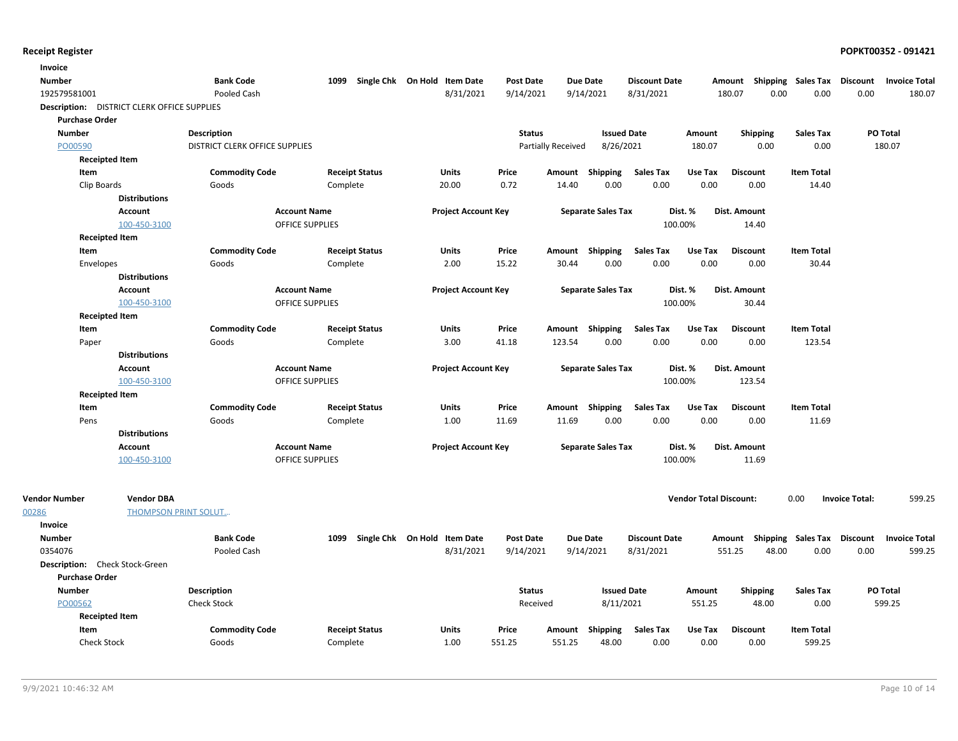| Invoice                                     |                             |                                |                            |                              |                  |                           |                           |                      |                               |                           |                           |                       |                      |
|---------------------------------------------|-----------------------------|--------------------------------|----------------------------|------------------------------|------------------|---------------------------|---------------------------|----------------------|-------------------------------|---------------------------|---------------------------|-----------------------|----------------------|
| <b>Number</b>                               |                             | <b>Bank Code</b>               | Single Chk On Hold<br>1099 | <b>Item Date</b>             | <b>Post Date</b> | <b>Due Date</b>           |                           | <b>Discount Date</b> |                               | Amount                    | <b>Shipping Sales Tax</b> | <b>Discount</b>       | <b>Invoice Total</b> |
| 192579581001                                |                             | Pooled Cash                    |                            | 8/31/2021                    | 9/14/2021        | 9/14/2021                 |                           | 8/31/2021            |                               | 180.07<br>0.00            | 0.00                      | 0.00                  | 180.07               |
| Description: DISTRICT CLERK OFFICE SUPPLIES |                             |                                |                            |                              |                  |                           |                           |                      |                               |                           |                           |                       |                      |
| <b>Purchase Order</b>                       |                             |                                |                            |                              |                  |                           |                           |                      |                               |                           |                           |                       |                      |
| Number                                      |                             | <b>Description</b>             |                            |                              | <b>Status</b>    |                           | <b>Issued Date</b>        |                      | Amount                        | <b>Shipping</b>           | <b>Sales Tax</b>          | PO Total              |                      |
| PO00590                                     |                             | DISTRICT CLERK OFFICE SUPPLIES |                            |                              |                  | <b>Partially Received</b> | 8/26/2021                 |                      | 180.07                        | 0.00                      | 0.00                      |                       | 180.07               |
| <b>Receipted Item</b>                       |                             |                                |                            |                              |                  |                           |                           |                      |                               |                           |                           |                       |                      |
| Item                                        |                             | <b>Commodity Code</b>          | <b>Receipt Status</b>      | Units                        | Price            | Amount Shipping           |                           | <b>Sales Tax</b>     | Use Tax                       | <b>Discount</b>           | <b>Item Total</b>         |                       |                      |
| Clip Boards                                 |                             | Goods                          | Complete                   | 20.00                        | 0.72             | 14.40                     | 0.00                      | 0.00                 | 0.00                          | 0.00                      | 14.40                     |                       |                      |
|                                             | <b>Distributions</b>        |                                |                            |                              |                  |                           |                           |                      |                               |                           |                           |                       |                      |
|                                             | <b>Account</b>              | <b>Account Name</b>            |                            | <b>Project Account Key</b>   |                  |                           | <b>Separate Sales Tax</b> | Dist. %              |                               | Dist. Amount              |                           |                       |                      |
|                                             | 100-450-3100                |                                | <b>OFFICE SUPPLIES</b>     |                              |                  |                           |                           | 100.00%              |                               | 14.40                     |                           |                       |                      |
| <b>Receipted Item</b>                       |                             |                                |                            |                              |                  |                           |                           |                      |                               |                           |                           |                       |                      |
| Item                                        |                             | <b>Commodity Code</b>          | <b>Receipt Status</b>      | Units                        | Price            | Amount Shipping           |                           | <b>Sales Tax</b>     | Use Tax                       | <b>Discount</b>           | <b>Item Total</b>         |                       |                      |
| Envelopes                                   |                             | Goods                          | Complete                   | 2.00                         | 15.22            | 30.44                     | 0.00                      | 0.00                 | 0.00                          | 0.00                      | 30.44                     |                       |                      |
|                                             | <b>Distributions</b>        |                                |                            |                              |                  |                           |                           |                      |                               |                           |                           |                       |                      |
|                                             | <b>Account</b>              | <b>Account Name</b>            |                            | <b>Project Account Key</b>   |                  |                           | <b>Separate Sales Tax</b> | Dist. %              |                               | Dist. Amount              |                           |                       |                      |
|                                             | 100-450-3100                |                                | <b>OFFICE SUPPLIES</b>     |                              |                  |                           |                           | 100.00%              |                               | 30.44                     |                           |                       |                      |
| <b>Receipted Item</b>                       |                             |                                |                            |                              |                  |                           |                           |                      |                               |                           |                           |                       |                      |
| Item                                        |                             | <b>Commodity Code</b>          | <b>Receipt Status</b>      | Units                        | Price            | Amount Shipping           |                           | <b>Sales Tax</b>     | Use Tax                       | <b>Discount</b>           | <b>Item Total</b>         |                       |                      |
| Paper                                       |                             | Goods                          | Complete                   | 3.00                         | 41.18            | 123.54                    | 0.00                      | 0.00                 | 0.00                          | 0.00                      | 123.54                    |                       |                      |
|                                             | <b>Distributions</b>        |                                |                            |                              |                  |                           |                           |                      |                               |                           |                           |                       |                      |
|                                             | <b>Account</b>              | <b>Account Name</b>            |                            | <b>Project Account Key</b>   |                  |                           | <b>Separate Sales Tax</b> | Dist. %              |                               | Dist. Amount              |                           |                       |                      |
|                                             | 100-450-3100                |                                | <b>OFFICE SUPPLIES</b>     |                              |                  |                           |                           | 100.00%              |                               | 123.54                    |                           |                       |                      |
| <b>Receipted Item</b>                       |                             |                                |                            |                              |                  |                           |                           |                      |                               |                           |                           |                       |                      |
| Item                                        |                             | <b>Commodity Code</b>          | <b>Receipt Status</b>      | Units                        | Price            | Amount Shipping           |                           | <b>Sales Tax</b>     | Use Tax                       | <b>Discount</b>           | <b>Item Total</b>         |                       |                      |
| Pens                                        | <b>Distributions</b>        | Goods                          | Complete                   | 1.00                         | 11.69            | 11.69                     | 0.00                      | 0.00                 | 0.00                          | 0.00                      | 11.69                     |                       |                      |
|                                             | Account                     | <b>Account Name</b>            |                            | <b>Project Account Key</b>   |                  |                           | <b>Separate Sales Tax</b> | Dist. %              |                               | Dist. Amount              |                           |                       |                      |
|                                             | 100-450-3100                |                                | <b>OFFICE SUPPLIES</b>     |                              |                  |                           |                           | 100.00%              |                               | 11.69                     |                           |                       |                      |
|                                             |                             |                                |                            |                              |                  |                           |                           |                      |                               |                           |                           |                       |                      |
|                                             |                             |                                |                            |                              |                  |                           |                           |                      |                               |                           |                           |                       |                      |
| <b>Vendor Number</b>                        | <b>Vendor DBA</b>           |                                |                            |                              |                  |                           |                           |                      | <b>Vendor Total Discount:</b> |                           | 0.00                      | <b>Invoice Total:</b> | 599.25               |
| 00286                                       | <b>THOMPSON PRINT SOLUT</b> |                                |                            |                              |                  |                           |                           |                      |                               |                           |                           |                       |                      |
| Invoice                                     |                             |                                |                            |                              |                  |                           |                           |                      |                               |                           |                           |                       |                      |
| <b>Number</b>                               |                             | <b>Bank Code</b>               | 1099                       | Single Chk On Hold Item Date | <b>Post Date</b> | <b>Due Date</b>           |                           | <b>Discount Date</b> |                               | Amount Shipping Sales Tax |                           | Discount              | <b>Invoice Total</b> |
| 0354076                                     |                             | <b>Pooled Cash</b>             |                            | 8/31/2021                    | 9/14/2021        | 9/14/2021                 |                           | 8/31/2021            |                               | 551.25<br>48.00           | 0.00                      | 0.00                  | 599.25               |
| Description: Check Stock-Green              |                             |                                |                            |                              |                  |                           |                           |                      |                               |                           |                           |                       |                      |
| <b>Purchase Order</b>                       |                             |                                |                            |                              |                  |                           |                           |                      |                               |                           |                           |                       |                      |
| <b>Number</b>                               |                             | <b>Description</b>             |                            |                              | <b>Status</b>    |                           | <b>Issued Date</b>        |                      | Amount                        | <b>Shipping</b>           | <b>Sales Tax</b>          | PO Total              |                      |
| PO00562                                     |                             | <b>Check Stock</b>             |                            |                              | Received         |                           | 8/11/2021                 |                      | 551.25                        | 48.00                     | 0.00                      |                       | 599.25               |
| <b>Receipted Item</b>                       |                             |                                |                            |                              |                  |                           |                           |                      |                               |                           |                           |                       |                      |
| Item                                        |                             | <b>Commodity Code</b>          | <b>Receipt Status</b>      | Units                        | Price            | Amount                    | Shipping                  | <b>Sales Tax</b>     | Use Tax                       | <b>Discount</b>           | <b>Item Total</b>         |                       |                      |
| <b>Check Stock</b>                          |                             | Goods                          | Complete                   | 1.00                         | 551.25           | 551.25                    | 48.00                     | 0.00                 | 0.00                          | 0.00                      | 599.25                    |                       |                      |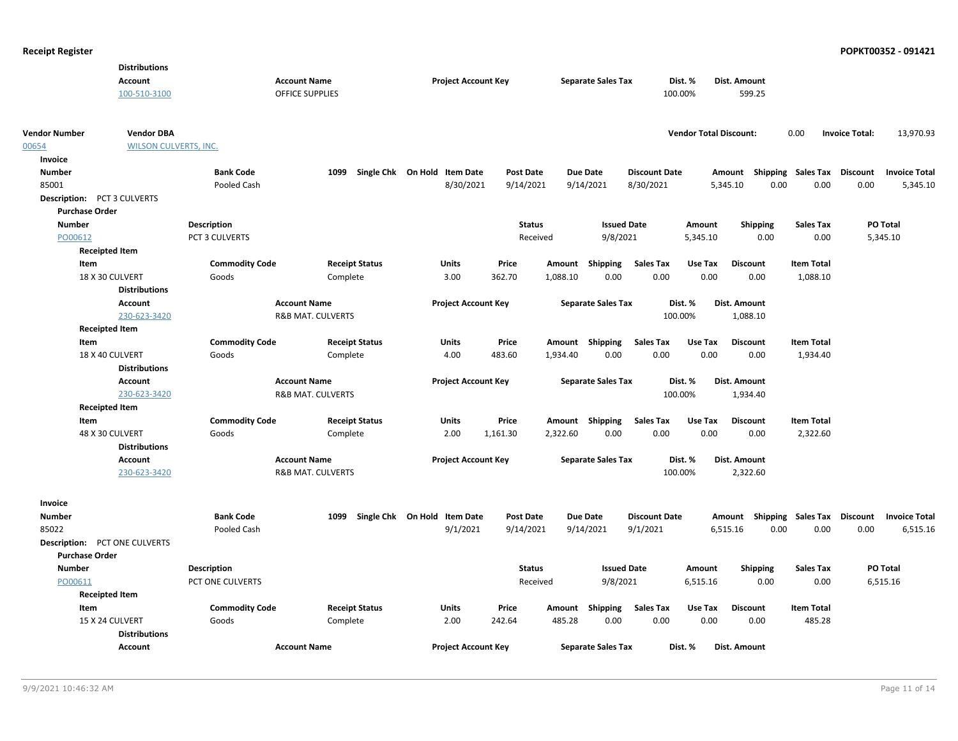| <b>Distributions</b>                      |                              |                              |                              |                  |          |                           |                      |                               |                                    |                   |                       |                      |
|-------------------------------------------|------------------------------|------------------------------|------------------------------|------------------|----------|---------------------------|----------------------|-------------------------------|------------------------------------|-------------------|-----------------------|----------------------|
| <b>Account</b>                            |                              | <b>Account Name</b>          | <b>Project Account Key</b>   |                  |          | <b>Separate Sales Tax</b> |                      | Dist. %                       | Dist. Amount                       |                   |                       |                      |
| 100-510-3100                              |                              | <b>OFFICE SUPPLIES</b>       |                              |                  |          |                           |                      | 100.00%                       | 599.25                             |                   |                       |                      |
|                                           |                              |                              |                              |                  |          |                           |                      |                               |                                    |                   |                       |                      |
| <b>Vendor DBA</b><br><b>Vendor Number</b> |                              |                              |                              |                  |          |                           |                      | <b>Vendor Total Discount:</b> |                                    | 0.00              | <b>Invoice Total:</b> | 13,970.93            |
| 00654                                     | <b>WILSON CULVERTS, INC.</b> |                              |                              |                  |          |                           |                      |                               |                                    |                   |                       |                      |
| Invoice                                   |                              |                              |                              |                  |          |                           |                      |                               |                                    |                   |                       |                      |
| <b>Number</b>                             | <b>Bank Code</b>             | 1099                         | Single Chk On Hold Item Date | <b>Post Date</b> |          | Due Date                  | <b>Discount Date</b> |                               | Amount Shipping Sales Tax          |                   | Discount              | <b>Invoice Total</b> |
| 85001                                     | Pooled Cash                  |                              | 8/30/2021                    | 9/14/2021        |          | 9/14/2021                 | 8/30/2021            |                               | 0.00<br>5,345.10                   | 0.00              | 0.00                  | 5,345.10             |
| <b>Description: PCT 3 CULVERTS</b>        |                              |                              |                              |                  |          |                           |                      |                               |                                    |                   |                       |                      |
| <b>Purchase Order</b>                     |                              |                              |                              |                  |          |                           |                      |                               |                                    |                   |                       |                      |
| <b>Number</b>                             | <b>Description</b>           |                              |                              | <b>Status</b>    |          | <b>Issued Date</b>        |                      | Amount                        | <b>Shipping</b>                    | <b>Sales Tax</b>  | PO Total              |                      |
| PO00612                                   | PCT 3 CULVERTS               |                              |                              | Received         |          | 9/8/2021                  |                      | 5,345.10                      | 0.00                               | 0.00              | 5,345.10              |                      |
| <b>Receipted Item</b>                     |                              |                              |                              |                  |          |                           |                      |                               |                                    |                   |                       |                      |
| Item                                      | <b>Commodity Code</b>        | <b>Receipt Status</b>        | <b>Units</b>                 | Price            | Amount   | Shipping                  | <b>Sales Tax</b>     | Use Tax                       | <b>Discount</b>                    | <b>Item Total</b> |                       |                      |
| 18 X 30 CULVERT                           | Goods                        | Complete                     | 3.00                         | 362.70           | 1,088.10 | 0.00                      | 0.00                 | 0.00                          | 0.00                               | 1,088.10          |                       |                      |
| <b>Distributions</b>                      |                              |                              |                              |                  |          |                           |                      |                               |                                    |                   |                       |                      |
| Account                                   |                              | <b>Account Name</b>          | <b>Project Account Key</b>   |                  |          | <b>Separate Sales Tax</b> |                      | Dist. %                       | Dist. Amount                       |                   |                       |                      |
| 230-623-3420                              |                              | <b>R&amp;B MAT. CULVERTS</b> |                              |                  |          |                           |                      | 100.00%                       | 1,088.10                           |                   |                       |                      |
| <b>Receipted Item</b>                     |                              |                              |                              |                  |          |                           |                      |                               |                                    |                   |                       |                      |
| Item                                      | <b>Commodity Code</b>        |                              | Units                        |                  |          |                           | <b>Sales Tax</b>     | Use Tax                       | <b>Discount</b>                    | <b>Item Total</b> |                       |                      |
|                                           |                              | <b>Receipt Status</b>        |                              | Price            |          | Amount Shipping           |                      |                               |                                    |                   |                       |                      |
| 18 X 40 CULVERT<br><b>Distributions</b>   | Goods                        | Complete                     | 4.00                         | 483.60           | 1,934.40 | 0.00                      | 0.00                 | 0.00                          | 0.00                               | 1,934.40          |                       |                      |
|                                           |                              |                              |                              |                  |          |                           |                      |                               |                                    |                   |                       |                      |
| Account                                   |                              | <b>Account Name</b>          | <b>Project Account Key</b>   |                  |          | <b>Separate Sales Tax</b> |                      | Dist. %                       | Dist. Amount                       |                   |                       |                      |
| 230-623-3420                              |                              | <b>R&amp;B MAT. CULVERTS</b> |                              |                  |          |                           |                      | 100.00%                       | 1,934.40                           |                   |                       |                      |
| <b>Receipted Item</b>                     |                              |                              |                              |                  |          |                           |                      |                               |                                    |                   |                       |                      |
| Item                                      | <b>Commodity Code</b>        | <b>Receipt Status</b>        | Units                        | Price            |          | Amount Shipping           | <b>Sales Tax</b>     | Use Tax                       | <b>Discount</b>                    | <b>Item Total</b> |                       |                      |
| 48 X 30 CULVERT                           | Goods                        | Complete                     | 2.00                         | 1,161.30         | 2,322.60 | 0.00                      | 0.00                 | 0.00                          | 0.00                               | 2,322.60          |                       |                      |
| <b>Distributions</b>                      |                              |                              |                              |                  |          |                           |                      |                               |                                    |                   |                       |                      |
| <b>Account</b>                            |                              | <b>Account Name</b>          | <b>Project Account Key</b>   |                  |          | <b>Separate Sales Tax</b> |                      | Dist. %                       | Dist. Amount                       |                   |                       |                      |
| 230-623-3420                              |                              | <b>R&amp;B MAT. CULVERTS</b> |                              |                  |          |                           |                      | 100.00%                       | 2,322.60                           |                   |                       |                      |
| Invoice                                   |                              |                              |                              |                  |          |                           |                      |                               |                                    |                   |                       |                      |
| <b>Number</b>                             | <b>Bank Code</b>             | 1099                         | Single Chk On Hold Item Date | <b>Post Date</b> |          | Due Date                  | <b>Discount Date</b> |                               | Amount Shipping Sales Tax Discount |                   |                       | <b>Invoice Total</b> |
| 85022                                     | Pooled Cash                  |                              | 9/1/2021                     | 9/14/2021        |          | 9/14/2021                 | 9/1/2021             |                               | 6,515.16<br>0.00                   | 0.00              | 0.00                  | 6,515.16             |
| <b>Description: PCT ONE CULVERTS</b>      |                              |                              |                              |                  |          |                           |                      |                               |                                    |                   |                       |                      |
| <b>Purchase Order</b>                     |                              |                              |                              |                  |          |                           |                      |                               |                                    |                   |                       |                      |
| <b>Number</b>                             | <b>Description</b>           |                              |                              | <b>Status</b>    |          | <b>Issued Date</b>        |                      | Amount                        | <b>Shipping</b>                    | <b>Sales Tax</b>  | PO Total              |                      |
|                                           | PCT ONE CULVERTS             |                              |                              |                  |          |                           |                      | 6,515.16                      | 0.00                               | 0.00              | 6,515.16              |                      |
| PO00611                                   |                              |                              |                              | Received         |          | 9/8/2021                  |                      |                               |                                    |                   |                       |                      |
| <b>Receipted Item</b><br>Item             | <b>Commodity Code</b>        | <b>Receipt Status</b>        | Units                        | Price            |          |                           | <b>Sales Tax</b>     | Use Tax                       | <b>Discount</b>                    | <b>Item Total</b> |                       |                      |
| 15 X 24 CULVERT                           |                              |                              | 2.00                         | 242.64           | 485.28   | Amount Shipping<br>0.00   | 0.00                 | 0.00                          | 0.00                               | 485.28            |                       |                      |
|                                           | Goods                        | Complete                     |                              |                  |          |                           |                      |                               |                                    |                   |                       |                      |
| <b>Distributions</b>                      |                              |                              |                              |                  |          |                           |                      |                               |                                    |                   |                       |                      |
| <b>Account</b>                            |                              | <b>Account Name</b>          | <b>Project Account Key</b>   |                  |          | <b>Separate Sales Tax</b> |                      | Dist. %                       | <b>Dist. Amount</b>                |                   |                       |                      |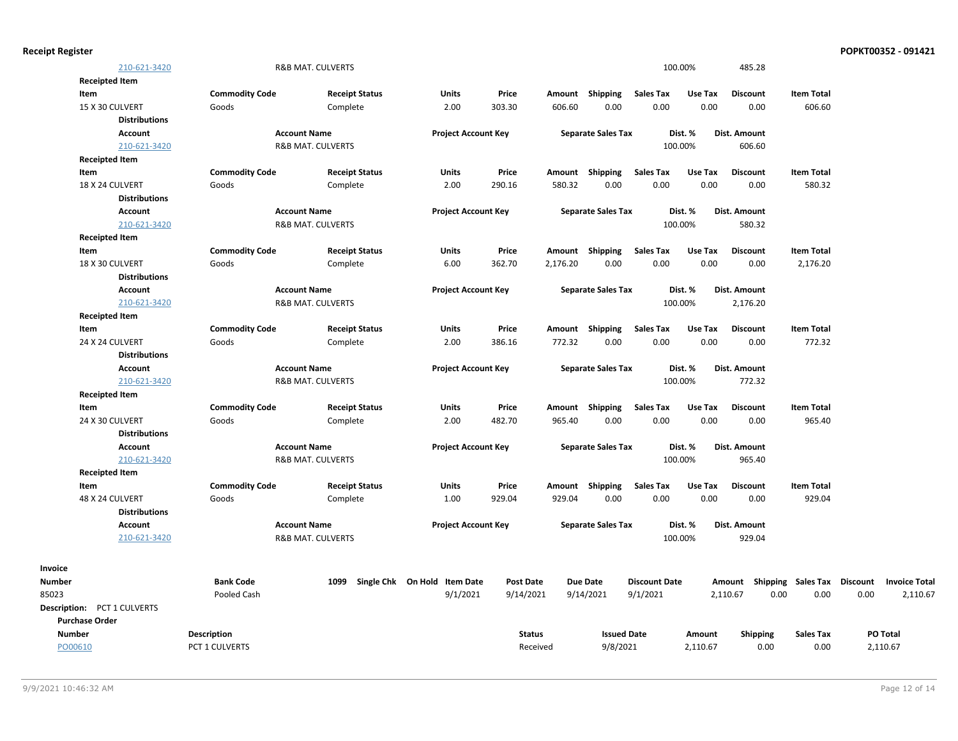| <b>Receipt Register</b> |                             |                       |                              |                              |                  |          |                           |                      |          |                                    |                   |      | POPKT00352 - 091421  |
|-------------------------|-----------------------------|-----------------------|------------------------------|------------------------------|------------------|----------|---------------------------|----------------------|----------|------------------------------------|-------------------|------|----------------------|
|                         | 210-621-3420                |                       | <b>R&amp;B MAT. CULVERTS</b> |                              |                  |          |                           |                      | 100.00%  | 485.28                             |                   |      |                      |
|                         | <b>Receipted Item</b>       |                       |                              |                              |                  |          |                           |                      |          |                                    |                   |      |                      |
| Item                    |                             | <b>Commodity Code</b> | <b>Receipt Status</b>        | Units                        | Price            |          | Amount Shipping           | Sales Tax            | Use Tax  | <b>Discount</b>                    | <b>Item Total</b> |      |                      |
|                         | 15 X 30 CULVERT             | Goods                 | Complete                     | 2.00                         | 303.30           | 606.60   | 0.00                      | 0.00                 | 0.00     | 0.00                               | 606.60            |      |                      |
|                         | <b>Distributions</b>        |                       |                              |                              |                  |          |                           |                      |          |                                    |                   |      |                      |
|                         | Account                     |                       | <b>Account Name</b>          | <b>Project Account Key</b>   |                  |          | <b>Separate Sales Tax</b> |                      | Dist. %  | <b>Dist. Amount</b>                |                   |      |                      |
|                         | 210-621-3420                |                       | <b>R&amp;B MAT. CULVERTS</b> |                              |                  |          |                           |                      | 100.00%  | 606.60                             |                   |      |                      |
|                         | <b>Receipted Item</b>       |                       |                              |                              |                  |          |                           |                      |          |                                    |                   |      |                      |
| Item                    |                             | <b>Commodity Code</b> | <b>Receipt Status</b>        | Units                        | Price            |          | Amount Shipping           | Sales Tax            | Use Tax  | <b>Discount</b>                    | <b>Item Total</b> |      |                      |
|                         | 18 X 24 CULVERT             | Goods                 | Complete                     | 2.00                         | 290.16           | 580.32   | 0.00                      | 0.00                 | 0.00     | 0.00                               | 580.32            |      |                      |
|                         | <b>Distributions</b>        |                       |                              |                              |                  |          |                           |                      |          |                                    |                   |      |                      |
|                         | <b>Account</b>              |                       | <b>Account Name</b>          | <b>Project Account Key</b>   |                  |          | <b>Separate Sales Tax</b> |                      | Dist. %  | Dist. Amount                       |                   |      |                      |
|                         | 210-621-3420                |                       | <b>R&amp;B MAT. CULVERTS</b> |                              |                  |          |                           |                      | 100.00%  | 580.32                             |                   |      |                      |
|                         | <b>Receipted Item</b>       |                       |                              |                              |                  |          |                           |                      |          |                                    |                   |      |                      |
| Item                    |                             | <b>Commodity Code</b> | <b>Receipt Status</b>        | Units                        | Price            |          | Amount Shipping           | <b>Sales Tax</b>     | Use Tax  | <b>Discount</b>                    | <b>Item Total</b> |      |                      |
|                         | 18 X 30 CULVERT             | Goods                 | Complete                     | 6.00                         | 362.70           | 2,176.20 | 0.00                      | 0.00                 | 0.00     | 0.00                               | 2,176.20          |      |                      |
|                         | <b>Distributions</b>        |                       |                              |                              |                  |          |                           |                      |          |                                    |                   |      |                      |
|                         | <b>Account</b>              |                       | <b>Account Name</b>          | <b>Project Account Key</b>   |                  |          | <b>Separate Sales Tax</b> |                      | Dist. %  | Dist. Amount                       |                   |      |                      |
|                         | 210-621-3420                |                       | <b>R&amp;B MAT. CULVERTS</b> |                              |                  |          |                           |                      | 100.00%  | 2,176.20                           |                   |      |                      |
|                         | <b>Receipted Item</b>       |                       |                              |                              |                  |          |                           |                      |          |                                    |                   |      |                      |
| Item                    |                             | <b>Commodity Code</b> | <b>Receipt Status</b>        | Units                        | Price            |          | Amount Shipping           | <b>Sales Tax</b>     | Use Tax  | <b>Discount</b>                    | <b>Item Total</b> |      |                      |
|                         | 24 X 24 CULVERT             | Goods                 | Complete                     | 2.00                         | 386.16           | 772.32   | 0.00                      | 0.00                 | 0.00     | 0.00                               | 772.32            |      |                      |
|                         | <b>Distributions</b>        |                       |                              |                              |                  |          |                           |                      |          |                                    |                   |      |                      |
|                         | <b>Account</b>              |                       | <b>Account Name</b>          | <b>Project Account Key</b>   |                  |          | <b>Separate Sales Tax</b> |                      | Dist. %  | Dist. Amount                       |                   |      |                      |
|                         | 210-621-3420                |                       | R&B MAT. CULVERTS            |                              |                  |          |                           |                      | 100.00%  | 772.32                             |                   |      |                      |
|                         | <b>Receipted Item</b>       |                       |                              |                              |                  |          |                           |                      |          |                                    |                   |      |                      |
| Item                    |                             | <b>Commodity Code</b> | <b>Receipt Status</b>        | Units                        | Price            |          | Amount Shipping           | <b>Sales Tax</b>     | Use Tax  | <b>Discount</b>                    | <b>Item Total</b> |      |                      |
|                         | 24 X 30 CULVERT             | Goods                 | Complete                     | 2.00                         | 482.70           | 965.40   | 0.00                      | 0.00                 | 0.00     | 0.00                               | 965.40            |      |                      |
|                         | <b>Distributions</b>        |                       |                              |                              |                  |          |                           |                      |          |                                    |                   |      |                      |
|                         | <b>Account</b>              |                       | <b>Account Name</b>          | <b>Project Account Key</b>   |                  |          | <b>Separate Sales Tax</b> |                      | Dist. %  | Dist. Amount                       |                   |      |                      |
|                         | 210-621-3420                |                       | R&B MAT. CULVERTS            |                              |                  |          |                           |                      | 100.00%  | 965.40                             |                   |      |                      |
|                         | <b>Receipted Item</b>       |                       |                              |                              |                  |          |                           |                      |          |                                    |                   |      |                      |
| Item                    |                             | <b>Commodity Code</b> | <b>Receipt Status</b>        | Units                        | Price            |          | Amount Shipping           | <b>Sales Tax</b>     | Use Tax  | <b>Discount</b>                    | <b>Item Total</b> |      |                      |
|                         | 48 X 24 CULVERT             | Goods                 | Complete                     | 1.00                         | 929.04           | 929.04   | 0.00                      | 0.00                 | 0.00     | 0.00                               | 929.04            |      |                      |
|                         | <b>Distributions</b>        |                       |                              |                              |                  |          |                           |                      |          |                                    |                   |      |                      |
|                         | Account                     |                       | <b>Account Name</b>          | <b>Project Account Key</b>   |                  |          | <b>Separate Sales Tax</b> |                      | Dist. %  | Dist. Amount                       |                   |      |                      |
|                         | 210-621-3420                |                       | <b>R&amp;B MAT. CULVERTS</b> |                              |                  |          |                           |                      | 100.00%  | 929.04                             |                   |      |                      |
|                         |                             |                       |                              |                              |                  |          |                           |                      |          |                                    |                   |      |                      |
| Invoice                 |                             |                       |                              |                              |                  |          |                           |                      |          |                                    |                   |      |                      |
| <b>Number</b>           |                             | <b>Bank Code</b>      | 1099                         | Single Chk On Hold Item Date | <b>Post Date</b> |          | <b>Due Date</b>           | <b>Discount Date</b> |          | Amount Shipping Sales Tax Discount |                   |      | <b>Invoice Total</b> |
| 85023                   |                             | Pooled Cash           |                              | 9/1/2021                     | 9/14/2021        |          | 9/14/2021                 | 9/1/2021             |          | 2,110.67<br>0.00                   | 0.00              | 0.00 | 2,110.67             |
|                         | Description: PCT 1 CULVERTS |                       |                              |                              |                  |          |                           |                      |          |                                    |                   |      |                      |
| <b>Purchase Order</b>   |                             |                       |                              |                              |                  |          |                           |                      |          |                                    |                   |      |                      |
| <b>Number</b>           |                             | Description           |                              |                              | <b>Status</b>    |          | <b>Issued Date</b>        |                      | Amount   | <b>Shipping</b>                    | <b>Sales Tax</b>  |      | PO Total             |
| PO00610                 |                             | PCT 1 CULVERTS        |                              |                              | Received         |          | 9/8/2021                  |                      | 2,110.67 | 0.00                               | 0.00              |      | 2,110.67             |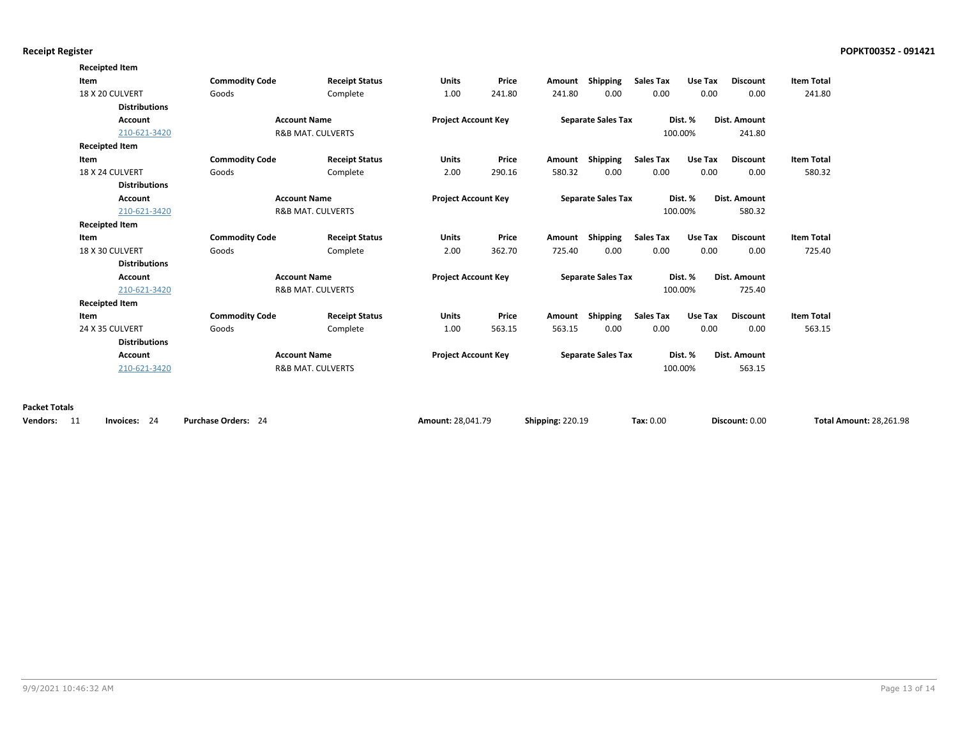| <b>Commodity Code</b> | <b>Receipt Status</b>                                                                                                                        | <b>Units</b>                                                                        | Price                      | Amount                     | Shipping | <b>Sales Tax</b>                    | Use Tax                                                                                                          | <b>Discount</b>                          | <b>Item Total</b>                            |
|-----------------------|----------------------------------------------------------------------------------------------------------------------------------------------|-------------------------------------------------------------------------------------|----------------------------|----------------------------|----------|-------------------------------------|------------------------------------------------------------------------------------------------------------------|------------------------------------------|----------------------------------------------|
| Goods                 | Complete                                                                                                                                     | 1.00                                                                                | 241.80                     | 241.80                     | 0.00     | 0.00                                | 0.00                                                                                                             | 0.00                                     | 241.80                                       |
|                       |                                                                                                                                              |                                                                                     |                            |                            |          |                                     |                                                                                                                  |                                          |                                              |
|                       |                                                                                                                                              |                                                                                     |                            |                            |          |                                     |                                                                                                                  |                                          |                                              |
|                       |                                                                                                                                              |                                                                                     |                            |                            |          |                                     |                                                                                                                  | 241.80                                   |                                              |
|                       |                                                                                                                                              |                                                                                     |                            |                            |          |                                     |                                                                                                                  |                                          |                                              |
| <b>Commodity Code</b> | <b>Receipt Status</b>                                                                                                                        | <b>Units</b>                                                                        | Price                      |                            |          | <b>Sales Tax</b>                    | Use Tax                                                                                                          | <b>Discount</b>                          | <b>Item Total</b>                            |
| Goods                 | Complete                                                                                                                                     | 2.00                                                                                | 290.16                     | 580.32                     | 0.00     | 0.00                                | 0.00                                                                                                             | 0.00                                     | 580.32                                       |
|                       |                                                                                                                                              |                                                                                     |                            |                            |          |                                     |                                                                                                                  |                                          |                                              |
|                       | <b>Account Name</b>                                                                                                                          |                                                                                     | <b>Project Account Key</b> |                            |          |                                     | Dist. %                                                                                                          |                                          |                                              |
|                       |                                                                                                                                              |                                                                                     |                            |                            |          |                                     |                                                                                                                  | 580.32                                   |                                              |
|                       |                                                                                                                                              |                                                                                     |                            |                            |          |                                     |                                                                                                                  |                                          |                                              |
| <b>Commodity Code</b> | <b>Receipt Status</b>                                                                                                                        | <b>Units</b>                                                                        | Price                      |                            | Shipping | <b>Sales Tax</b>                    | Use Tax                                                                                                          | <b>Discount</b>                          | <b>Item Total</b>                            |
| Goods                 | Complete                                                                                                                                     | 2.00                                                                                | 362.70                     | 725.40                     | 0.00     | 0.00                                | 0.00                                                                                                             | 0.00                                     | 725.40                                       |
|                       |                                                                                                                                              |                                                                                     |                            |                            |          |                                     |                                                                                                                  |                                          |                                              |
|                       | <b>Account Name</b><br><b>R&amp;B MAT. CULVERTS</b>                                                                                          |                                                                                     | <b>Project Account Key</b> |                            |          |                                     | Dist. %<br>Dist. Amount<br>725.40<br>100.00%                                                                     |                                          |                                              |
|                       |                                                                                                                                              |                                                                                     |                            |                            |          |                                     |                                                                                                                  |                                          |                                              |
|                       |                                                                                                                                              |                                                                                     |                            |                            |          |                                     |                                                                                                                  |                                          |                                              |
| <b>Commodity Code</b> | <b>Receipt Status</b>                                                                                                                        | <b>Units</b>                                                                        | Price                      |                            | Shipping | <b>Sales Tax</b>                    | Use Tax                                                                                                          | <b>Discount</b>                          | <b>Item Total</b>                            |
| Goods                 | Complete                                                                                                                                     | 1.00                                                                                | 563.15                     | 563.15                     | 0.00     | 0.00                                | 0.00                                                                                                             | 0.00                                     | 563.15                                       |
|                       |                                                                                                                                              |                                                                                     |                            |                            |          |                                     |                                                                                                                  |                                          |                                              |
|                       | <b>Account Name</b><br><b>R&amp;B MAT. CULVERTS</b>                                                                                          |                                                                                     | <b>Project Account Key</b> |                            |          |                                     |                                                                                                                  |                                          |                                              |
| 210-621-3420          |                                                                                                                                              |                                                                                     |                            |                            |          |                                     | 563.15<br>100.00%                                                                                                |                                          |                                              |
|                       | <b>Distributions</b><br>210-621-3420<br><b>Distributions</b><br>210-621-3420<br><b>Distributions</b><br>210-621-3420<br><b>Distributions</b> | <b>Account Name</b><br><b>R&amp;B MAT. CULVERTS</b><br><b>R&amp;B MAT. CULVERTS</b> |                            | <b>Project Account Key</b> |          | Amount Shipping<br>Amount<br>Amount | <b>Separate Sales Tax</b><br><b>Separate Sales Tax</b><br><b>Separate Sales Tax</b><br><b>Separate Sales Tax</b> | Dist. %<br>100.00%<br>100.00%<br>Dist. % | Dist. Amount<br>Dist. Amount<br>Dist. Amount |

| Vendors: 11 | Invoices: 24 | <b>Purchase Orders:</b> |
|-------------|--------------|-------------------------|